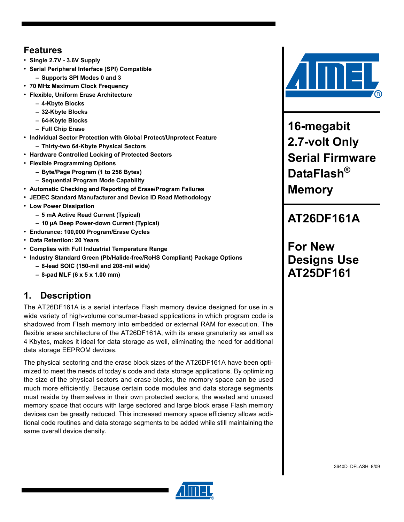## **Features**

- **Single 2.7V 3.6V Supply**
- **Serial Peripheral Interface (SPI) Compatible**
	- **Supports SPI Modes 0 and 3**
- **70 MHz Maximum Clock Frequency**
- **Flexible, Uniform Erase Architecture**
	- **4-Kbyte Blocks**
	- **32-Kbyte Blocks**
	- **64-Kbyte Blocks**
	- **Full Chip Erase**
- **Individual Sector Protection with Global Protect/Unprotect Feature**
	- **Thirty-two 64-Kbyte Physical Sectors**
- **Hardware Controlled Locking of Protected Sectors**
- **Flexible Programming Options**
	- **Byte/Page Program (1 to 256 Bytes)**
	- **Sequential Program Mode Capability**
- **Automatic Checking and Reporting of Erase/Program Failures**
- **JEDEC Standard Manufacturer and Device ID Read Methodology**
- **Low Power Dissipation**
	- **5 mA Active Read Current (Typical)**
	- **10 µA Deep Power-down Current (Typical)**
- **Endurance: 100,000 Program/Erase Cycles**
- **Data Retention: 20 Years**
- **Complies with Full Industrial Temperature Range**
- **Industry Standard Green (Pb/Halide-free/RoHS Compliant) Package Options**
	- **8-lead SOIC (150-mil and 208-mil wide)**
	- **8-pad MLF (6 x 5 x 1.00 mm)**

## **1. Description**

The AT26DF161A is a serial interface Flash memory device designed for use in a wide variety of high-volume consumer-based applications in which program code is shadowed from Flash memory into embedded or external RAM for execution. The flexible erase architecture of the AT26DF161A, with its erase granularity as small as 4 Kbytes, makes it ideal for data storage as well, eliminating the need for additional data storage EEPROM devices.

The physical sectoring and the erase block sizes of the AT26DF161A have been optimized to meet the needs of today's code and data storage applications. By optimizing the size of the physical sectors and erase blocks, the memory space can be used much more efficiently. Because certain code modules and data storage segments must reside by themselves in their own protected sectors, the wasted and unused memory space that occurs with large sectored and large block erase Flash memory devices can be greatly reduced. This increased memory space efficiency allows additional code routines and data storage segments to be added while still maintaining the same overall device density.



**16-megabit 2.7-volt Only Serial Firmware DataFlash® Memory**

## **AT26DF161A**

**For New Designs Use AT25DF161**

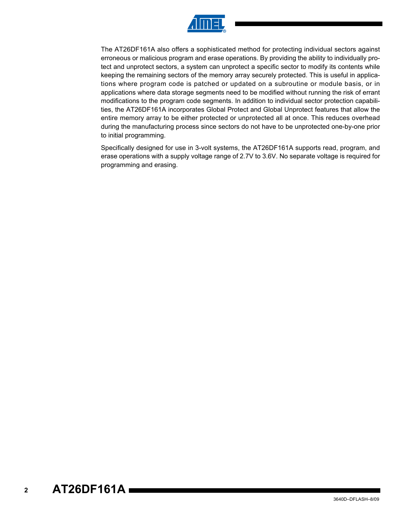

The AT26DF161A also offers a sophisticated method for protecting individual sectors against erroneous or malicious program and erase operations. By providing the ability to individually protect and unprotect sectors, a system can unprotect a specific sector to modify its contents while keeping the remaining sectors of the memory array securely protected. This is useful in applications where program code is patched or updated on a subroutine or module basis, or in applications where data storage segments need to be modified without running the risk of errant modifications to the program code segments. In addition to individual sector protection capabilities, the AT26DF161A incorporates Global Protect and Global Unprotect features that allow the entire memory array to be either protected or unprotected all at once. This reduces overhead during the manufacturing process since sectors do not have to be unprotected one-by-one prior to initial programming.

Specifically designed for use in 3-volt systems, the AT26DF161A supports read, program, and erase operations with a supply voltage range of 2.7V to 3.6V. No separate voltage is required for programming and erasing.

#### **2 AT26DF161A**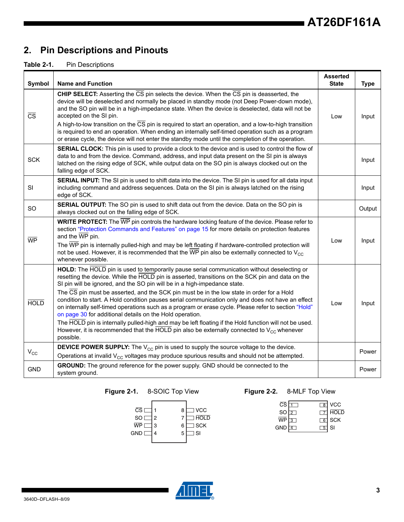## **2. Pin Descriptions and Pinouts**

#### **Table 2-1.** Pin Descriptions

| Symbol                 | <b>Name and Function</b>                                                                                                                                                                                                                                                                                                                                                                                                                                                                                                                                                                                                                                                                                                                                                                                                                                                    | <b>Asserted</b><br><b>State</b> | <b>Type</b> |
|------------------------|-----------------------------------------------------------------------------------------------------------------------------------------------------------------------------------------------------------------------------------------------------------------------------------------------------------------------------------------------------------------------------------------------------------------------------------------------------------------------------------------------------------------------------------------------------------------------------------------------------------------------------------------------------------------------------------------------------------------------------------------------------------------------------------------------------------------------------------------------------------------------------|---------------------------------|-------------|
| $\overline{\text{CS}}$ | <b>CHIP SELECT:</b> Asserting the $\overline{CS}$ pin selects the device. When the $\overline{CS}$ pin is deasserted, the<br>device will be deselected and normally be placed in standby mode (not Deep Power-down mode),<br>and the SO pin will be in a high-impedance state. When the device is deselected, data will not be<br>accepted on the SI pin.<br>A high-to-low transition on the CS pin is required to start an operation, and a low-to-high transition<br>is required to end an operation. When ending an internally self-timed operation such as a program<br>or erase cycle, the device will not enter the standby mode until the completion of the operation.                                                                                                                                                                                               | Low                             | Input       |
| <b>SCK</b>             | SERIAL CLOCK: This pin is used to provide a clock to the device and is used to control the flow of<br>data to and from the device. Command, address, and input data present on the SI pin is always<br>latched on the rising edge of SCK, while output data on the SO pin is always clocked out on the<br>falling edge of SCK.                                                                                                                                                                                                                                                                                                                                                                                                                                                                                                                                              |                                 | Input       |
| SI                     | SERIAL INPUT: The SI pin is used to shift data into the device. The SI pin is used for all data input<br>including command and address sequences. Data on the SI pin is always latched on the rising<br>edge of SCK.                                                                                                                                                                                                                                                                                                                                                                                                                                                                                                                                                                                                                                                        |                                 | Input       |
| <b>SO</b>              | SERIAL OUTPUT: The SO pin is used to shift data out from the device. Data on the SO pin is<br>always clocked out on the falling edge of SCK.                                                                                                                                                                                                                                                                                                                                                                                                                                                                                                                                                                                                                                                                                                                                |                                 | Output      |
| <b>WP</b>              | WRITE PROTECT: The WP pin controls the hardware locking feature of the device. Please refer to<br>section "Protection Commands and Features" on page 15 for more details on protection features<br>and the WP pin.<br>The WP pin is internally pulled-high and may be left floating if hardware-controlled protection will<br>not be used. However, it is recommended that the $\overline{WP}$ pin also be externally connected to $V_{CC}$<br>whenever possible.                                                                                                                                                                                                                                                                                                                                                                                                           | Low                             | Input       |
| <b>HOLD</b>            | HOLD: The HOLD pin is used to temporarily pause serial communication without deselecting or<br>resetting the device. While the HOLD pin is asserted, transitions on the SCK pin and data on the<br>SI pin will be ignored, and the SO pin will be in a high-impedance state.<br>The CS pin must be asserted, and the SCK pin must be in the low state in order for a Hold<br>condition to start. A Hold condition pauses serial communication only and does not have an effect<br>on internally self-timed operations such as a program or erase cycle. Please refer to section "Hold"<br>on page 30 for additional details on the Hold operation.<br>The HOLD pin is internally pulled-high and may be left floating if the Hold function will not be used.<br>However, it is recommended that the HOLD pin also be externally connected to $V_{CC}$ whenever<br>possible. | Low                             | Input       |
| $V_{\rm CC}$           | <b>DEVICE POWER SUPPLY:</b> The $V_{CC}$ pin is used to supply the source voltage to the device.<br>Operations at invalid V <sub>CC</sub> voltages may produce spurious results and should not be attempted.                                                                                                                                                                                                                                                                                                                                                                                                                                                                                                                                                                                                                                                                |                                 | Power       |
| <b>GND</b>             | GROUND: The ground reference for the power supply. GND should be connected to the<br>system ground.                                                                                                                                                                                                                                                                                                                                                                                                                                                                                                                                                                                                                                                                                                                                                                         |                                 | Power       |

### **Figure 2-1.** 8-SOIC Top View **Figure 2-2.** 8-MLF Top View



| $\overline{\text{CS}}$ $\overline{\text{I}}$ |   |        | $\overline{\phantom{a}}$ and $\overline{\phantom{a}}$ |
|----------------------------------------------|---|--------|-------------------------------------------------------|
| SO $\sqrt{2}$                                |   |        | $\Box$ HOLD                                           |
| wP l                                         | 3 |        | $6$ SCK                                               |
| <b>GND</b>                                   |   | $5$ SI |                                                       |

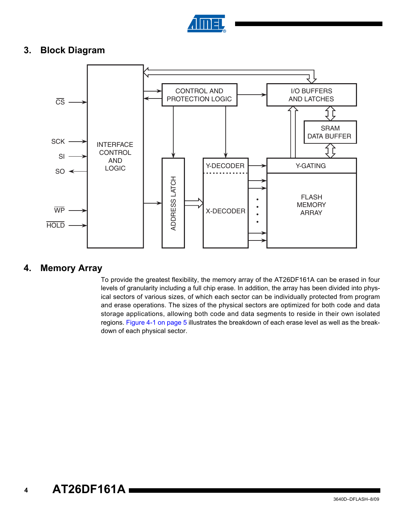

### **3. Block Diagram**



### **4. Memory Array**

To provide the greatest flexibility, the memory array of the AT26DF161A can be erased in four levels of granularity including a full chip erase. In addition, the array has been divided into physical sectors of various sizes, of which each sector can be individually protected from program and erase operations. The sizes of the physical sectors are optimized for both code and data storage applications, allowing both code and data segments to reside in their own isolated regions. [Figure 4-1 on page 5](#page-4-0) illustrates the breakdown of each erase level as well as the breakdown of each physical sector.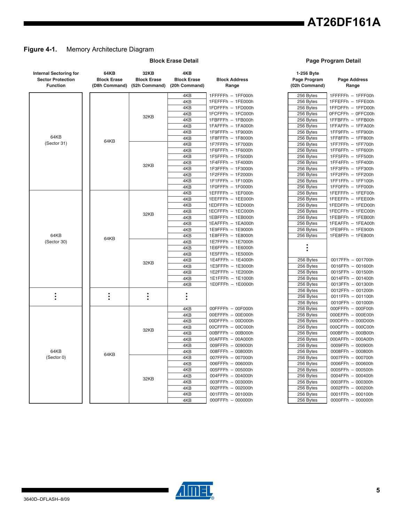## **AT26DF161A**

### <span id="page-4-0"></span>**Figure 4-1.** Memory Architecture Diagram

| <b>Internal Sectoring for</b><br><b>Sector Protection</b><br><b>Function</b> | 64KB<br><b>Block Erase</b><br>(D8h Command) | 32KB<br><b>Block Erase</b><br>(52h Command) | 4KB<br><b>Block Erase</b><br>(20h Command) | <b>Block Address</b><br>Range | 1-256 Byte<br>Page Program<br>(02h Command) |
|------------------------------------------------------------------------------|---------------------------------------------|---------------------------------------------|--------------------------------------------|-------------------------------|---------------------------------------------|
|                                                                              |                                             |                                             | 4KB                                        | 1FFFFFh - 1FF000h             | 256 Bytes                                   |
|                                                                              |                                             |                                             | 4KB                                        | 1FEFFFh - 1FE000h             | 256 Bytes                                   |
|                                                                              |                                             |                                             | 4KB                                        | 1FDFFFh - 1FD000h             | 256 Bytes                                   |
|                                                                              |                                             | 32KB                                        | 4KB                                        | 1FCFFFh - 1FC000h             | 256 Bytes                                   |
|                                                                              |                                             |                                             | 4KB                                        | 1FBFFFh - 1FB000h             | 256 Bytes                                   |
|                                                                              |                                             |                                             | 4KB                                        | 1FAFFFh - 1FA000h             | 256 Bytes                                   |
|                                                                              |                                             |                                             | 4KB                                        | 1F9FFFh - 1F9000h             | 256 Bytes                                   |
| 64KB                                                                         | 64KB                                        |                                             | 4KB                                        | 1F8FFFh - 1F8000h             | 256 Bytes                                   |
| (Sector 31)                                                                  |                                             |                                             | 4KB                                        | 1F7FFFh - 1F7000h             | 256 Bytes                                   |
|                                                                              |                                             |                                             | 4KB                                        | 1F6FFFh - 1F6000h             | 256 Bytes                                   |
|                                                                              |                                             |                                             | 4KB                                        | 1F5FFFh - 1F5000h             | 256 Bytes                                   |
|                                                                              |                                             | 32KB                                        | 4KB                                        | 1F4FFFh - 1F4000h             | 256 Bytes                                   |
|                                                                              |                                             |                                             | 4KB                                        | 1F3FFFh - 1F3000h             | 256 Bytes                                   |
|                                                                              |                                             |                                             | 4KB                                        | 1F2FFFh - 1F2000h             | 256 Bytes                                   |
|                                                                              |                                             |                                             | 4KB                                        | 1F1FFFh - 1F1000h             | 256 Bytes                                   |
|                                                                              |                                             |                                             | 4KB                                        | 1F0FFFh - 1F0000h             | 256 Bytes                                   |
|                                                                              |                                             |                                             | 4KB                                        | 1EFFFFh - 1EF000h             | 256 Bytes                                   |
|                                                                              |                                             |                                             | 4KB                                        | 1EEFFFh - 1EE000h             | 256 Bytes                                   |
|                                                                              |                                             |                                             | 4KB                                        | 1EDFFFh - 1ED000h             | 256 Bytes                                   |
|                                                                              |                                             | 32KB                                        | 4KB                                        | 1ECFFFh - 1EC000h             | 256 Bytes                                   |
|                                                                              |                                             |                                             | 4KB                                        | 1EBFFFh - 1EB000h             | 256 Bytes                                   |
|                                                                              |                                             |                                             | 4KB                                        | 1EAFFFh - 1EA000h             | 256 Bytes                                   |
|                                                                              |                                             |                                             | 4KB                                        | 1E9FFFh - 1E9000h             | 256 Bytes                                   |
| 64KB                                                                         | 64KB                                        |                                             | 4KB                                        | 1E8FFFh - 1E8000h             | 256 Bytes                                   |
| (Sector 30)                                                                  |                                             |                                             | 4KB                                        | 1E7FFFh - 1E7000h             |                                             |
|                                                                              |                                             |                                             | 4KB                                        | 1E6FFFh - 1E6000h             |                                             |
|                                                                              |                                             |                                             | 4KB                                        | 1E5FFFh - 1E5000h             |                                             |
|                                                                              |                                             | 32KB                                        | 4KB                                        | 1E4FFFh - 1E4000h             | 256 Bytes                                   |
|                                                                              |                                             |                                             | 4KB                                        | 1E3FFFh - 1E3000h             | 256 Bytes                                   |
|                                                                              |                                             |                                             | 4KB                                        | 1E2FFFh - 1E2000h             | 256 Bytes                                   |
|                                                                              |                                             |                                             | 4KB                                        | 1E1FFFh - 1E1000h             | 256 Bytes                                   |
|                                                                              |                                             |                                             | 4KB                                        | 1E0FFFh - 1E0000h             | 256 Bytes                                   |
|                                                                              |                                             |                                             |                                            |                               | 256 Bytes                                   |
| $\ddot{\cdot}$                                                               | $\ddot{\cdot}$                              | $\ddot{\phantom{0}}$                        | $\ddot{\cdot}$                             |                               | 256 Bytes                                   |
|                                                                              |                                             |                                             |                                            |                               | 256 Bytes                                   |
|                                                                              |                                             |                                             | 4KB                                        | 00FFFFh - 00F000h             | 256 Bytes                                   |
|                                                                              |                                             |                                             | 4KB                                        | 00EFFFh - 00E000h             | 256 Bytes                                   |
|                                                                              |                                             |                                             | 4KB                                        | 00DFFFh - 00D000h             | 256 Bytes                                   |
|                                                                              |                                             | 32KB                                        | 4KB                                        | 00CFFFh - 00C000h             | 256 Bytes                                   |
|                                                                              |                                             |                                             | 4KB                                        | 00BFFFh - 00B000h             | 256 Bytes                                   |
|                                                                              |                                             |                                             | 4KB                                        | 00AFFFh - 00A000h             | 256 Bytes                                   |
|                                                                              |                                             |                                             | 4KB                                        | 009FFFh - 009000h             | 256 Bytes                                   |
| 64KB                                                                         | 64KB                                        |                                             | 4KB                                        | 008FFFh - 008000h             | 256 Bytes                                   |
| (Sector 0)                                                                   |                                             |                                             | 4KB                                        | 007FFFh - 007000h             | 256 Bytes                                   |
|                                                                              |                                             |                                             | 4KB                                        | 006FFFh - 006000h             | 256 Bytes                                   |
|                                                                              |                                             |                                             | 4KB                                        | 005FFFh - 005000h             | 256 Bytes                                   |
|                                                                              |                                             | 32KB                                        | 4KB                                        | 004FFFh - 004000h             | 256 Bytes                                   |
|                                                                              |                                             |                                             | 4KB                                        | 003FFFh - 003000h             | 256 Bytes                                   |
|                                                                              |                                             |                                             | 4KB                                        | 002FFFh - 002000h             | 256 Bytes                                   |
|                                                                              |                                             |                                             | 4KB                                        | 001FFFh - 001000h             | 256 Bytes                                   |
|                                                                              |                                             |                                             | 4KB                                        | 000FFFh - 000000h             | 256 Bytes                                   |

#### **Block Erase Detail Contract Contract Page Program Detail**

| 4KB                  |                               | 1-256 Byte                    |                              |
|----------------------|-------------------------------|-------------------------------|------------------------------|
| :k Erase<br>ommand): | <b>Block Address</b><br>Range | Page Program<br>(02h Command) | <b>Page Address</b><br>Range |
| 4KB                  | 1FFFFFh - 1FF000h             | 256 Bytes                     | 1FFFFFh - 1FFF00h            |
| 4KB                  | 1FEFFFh - 1FE000h             | 256 Bytes                     | 1FFEFFh - 1FFE00h            |
| 4KB                  | 1FDFFFh - 1FD000h             | 256 Bytes                     | 1FFDFFh - 1FFD00h            |
| 4KB                  | 1FCFFFh - 1FC000h             | 256 Bytes                     | OFFCFFh - OFFC00h            |
| 4KB                  | 1FBFFFh - 1FB000h             | 256 Bytes                     | 1FFBFFh - 1FFB00h            |
| 4KB                  | 1FAFFFh - 1FA000h             | 256 Bytes                     | 1FFAFFh - 1FFA00h            |
| 4KB                  | 1F9FFFh - 1F9000h             | 256 Bytes                     | 1FF9FFh - 1FF900h            |
| 4KB                  | 1F8FFFh - 1F8000h             | 256 Bytes                     | 1FF8FFh - 1FF800h            |
| 4KB                  | 1F7FFFh - 1F7000h             | 256 Bytes                     | 1FF7FFh - 1FF700h            |
| 4KB                  | 1F6FFFh - 1F6000h             | 256 Bytes                     | 1FF6FFh - 1FF600h            |
| 4KB                  | 1F5FFFh - 1F5000h             | 256 Bytes                     | 1FF5FFh - 1FF500h            |
| 4KB                  | 1F4FFFh - 1F4000h             | 256 Bytes                     | 1FF4FFh - 1FF400h            |
| 4KB                  | 1F3FFFh - 1F3000h             | 256 Bytes                     | 1FF3FFh - 1FF300h            |
| 4KB                  | 1F2FFFh - 1F2000h             | 256 Bytes                     | 1FF2FFh - 1FF200h            |
| 4KB                  | 1F1FFFh - 1F1000h             | 256 Bytes                     | 1FF1FFh - 1FF100h            |
| 4KB                  | $1$ F0FFFh $-1$ F0000h        | 256 Bytes                     | 1FF0FFh - 1FF000h            |
| 4KB                  | 1EFFFFh - 1EF000h             | 256 Bytes                     | 1FEFFFh - 1FEF00h            |
| 4KB                  | 1EEFFFh - 1EE000h             | 256 Bytes                     | 1FEEFFh - 1FEE00h            |
| 4KB                  | 1EDFFFh - 1ED000h             | 256 Bytes                     | 1FEDFFh - 1FED00h            |
| 4KB                  | 1ECFFFh - 1EC000h             | 256 Bytes                     | 1FECFFh - 1FEC00h            |
| 4KB                  | 1EBFFFh - 1EB000h             | 256 Bytes                     | 1FEBFFh - 1FEB00h            |
| 4KB                  | 1EAFFFh - 1EA000h             | 256 Bytes                     | 1FEAFFh - 1FEA00h            |
| 4KB                  | 1E9FFFh - 1E9000h             | 256 Bytes                     | 1FE9FFh - 1FE900h            |
| 4KB                  | 1E8FFFh - 1E8000h             | 256 Bytes                     | 1FE8FFh - 1FE800h            |
| 4KB                  | 1E7FFFh - 1E7000h             |                               |                              |
| 4KB                  | 1E6FFFh - 1E6000h             | $\vdots$                      |                              |
| 4KB                  | 1E5FFFh - 1E5000h             |                               |                              |
| 4KB                  | 1E4FFFh - 1E4000h             | 256 Bytes                     | 0017FFh - 001700h            |
| 4KB                  | 1E3FFFh - 1E3000h             | 256 Bytes                     | 0016FFh - 001600h            |
| 4KB                  | 1E2FFFh - 1E2000h             | 256 Bytes                     | 0015FFh - 001500h            |
| 4KB                  | 1E1FFFh - 1E1000h             | 256 Bytes                     | 0014FFh - 001400h            |
| 4KB                  | 1E0FFFh - 1E0000h             | 256 Bytes                     | 0013FFh - 001300h            |
|                      |                               | 256 Bytes                     | 0012FFh - 001200h            |
| $\ddot{\phantom{0}}$ |                               | 256 Bytes                     | 0011FFh - 001100h            |
|                      |                               | 256 Bytes                     | 0010FFh - 001000h            |
| 4KB                  | 00FFFFh - 00F000h             | 256 Bytes                     | 000FFFh - 000F00h            |
| 4KB                  | 00EFFFh - 00E000h             | 256 Bytes                     | 000EFFh - 000E00h            |
| 4KB                  | 00DFFFh - 00D000h             | 256 Bytes                     | 000DFFh - 000D00h            |
| 4KB                  | 00CFFFh - 00C000h             | 256 Bytes                     | 000CFFh - 000C00h            |
| 4KB                  | 00BFFFh - 00B000h             | 256 Bytes                     | 000BFFh - 000B00h            |
| 4KB                  | 00AFFFh - 00A000h             | 256 Bytes                     | 000AFFh - 000A00h            |
| 4KB                  | 009FFFh - 009000h             | 256 Bytes                     | 0009FFh - 000900h            |
| 4KB                  | 008FFFh - 008000h             | 256 Bytes                     | 0008FFh - 000800h            |
| 4KB                  | 007FFFh - 007000h             | 256 Bytes                     | 0007FFh - 000700h            |
| 4KB                  | 006FFFh - 006000h             | 256 Bytes                     | 0006FFh - 000600h            |
| 4KB                  | 005FFFh - 005000h             | 256 Bytes                     | 0005FFh - 000500h            |
| 4KB                  | 004FFFh - 004000h             | 256 Bytes                     | 0004FFh - 000400h            |
| 4KB                  | 003FFFh - 003000h             | 256 Bytes                     | 0003FFh - 000300h            |
| 4KB                  | 002FFFh - 002000h             | 256 Bytes                     | 0002FFh - 000200h            |
| 4KB                  | 001FFFh - 001000h             | 256 Bytes                     | 0001FFh - 000100h            |
| 4KB                  | 000FFFh - 000000h             | 256 Bytes                     | 0000FFh - 000000h            |
|                      |                               |                               |                              |

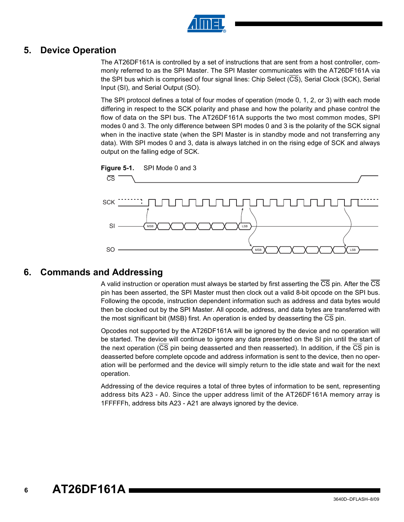

### **5. Device Operation**

The AT26DF161A is controlled by a set of instructions that are sent from a host controller, commonly referred to as the SPI Master. The SPI Master communicates with the AT26DF161A via the SPI bus which is comprised of four signal lines: Chip Select (CS), Serial Clock (SCK), Serial Input (SI), and Serial Output (SO).

The SPI protocol defines a total of four modes of operation (mode 0, 1, 2, or 3) with each mode differing in respect to the SCK polarity and phase and how the polarity and phase control the flow of data on the SPI bus. The AT26DF161A supports the two most common modes, SPI modes 0 and 3. The only difference between SPI modes 0 and 3 is the polarity of the SCK signal when in the inactive state (when the SPI Master is in standby mode and not transferring any data). With SPI modes 0 and 3, data is always latched in on the rising edge of SCK and always output on the falling edge of SCK.



### **6. Commands and Addressing**

A valid instruction or operation must always be started by first asserting the CS pin. After the CS pin has been asserted, the SPI Master must then clock out a valid 8-bit opcode on the SPI bus. Following the opcode, instruction dependent information such as address and data bytes would then be clocked out by the SPI Master. All opcode, address, and data bytes are transferred with the most significant bit (MSB) first. An operation is ended by deasserting the CS pin.

Opcodes not supported by the AT26DF161A will be ignored by the device and no operation will be started. The device will continue to ignore any data presented on the SI pin until the start of the next operation ( $\overline{\text{CS}}$  pin being deasserted and then reasserted). In addition, if the  $\overline{\text{CS}}$  pin is deasserted before complete opcode and address information is sent to the device, then no operation will be performed and the device will simply return to the idle state and wait for the next operation.

Addressing of the device requires a total of three bytes of information to be sent, representing address bits A23 - A0. Since the upper address limit of the AT26DF161A memory array is 1FFFFFh, address bits A23 - A21 are always ignored by the device.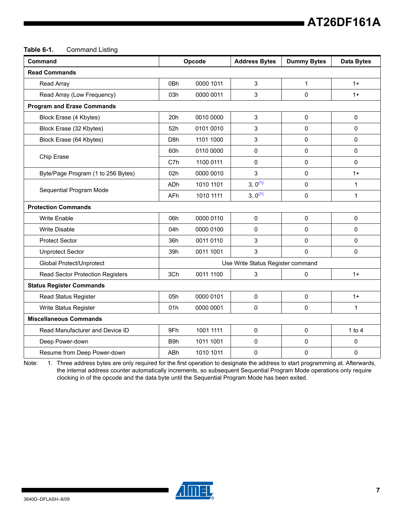#### **Table 6-1.** Command Listing

| Command                            |                  | Opcode    | <b>Address Bytes</b>              | <b>Dummy Bytes</b> | <b>Data Bytes</b> |
|------------------------------------|------------------|-----------|-----------------------------------|--------------------|-------------------|
| <b>Read Commands</b>               |                  |           |                                   |                    |                   |
| Read Array                         | 0Bh              | 0000 1011 | 3                                 | 1                  | $1+$              |
| Read Array (Low Frequency)         | 03h              | 0000 0011 | 3                                 | 0                  | $1+$              |
| <b>Program and Erase Commands</b>  |                  |           |                                   |                    |                   |
| Block Erase (4 Kbytes)             | 20h              | 0010 0000 | 3                                 | 0                  | $\mathbf 0$       |
| Block Erase (32 Kbytes)            | 52h              | 0101 0010 | 3                                 | 0                  | 0                 |
| Block Erase (64 Kbytes)            | D <sub>8</sub> h | 1101 1000 | 3                                 | 0                  | 0                 |
|                                    | 60h              | 0110 0000 | 0                                 | 0                  | 0                 |
| Chip Erase                         | C7h              | 1100 0111 | $\mathbf 0$                       | 0                  | 0                 |
| Byte/Page Program (1 to 256 Bytes) | 02h              | 0000 0010 | 3                                 | 0                  | $1+$              |
|                                    | ADh              | 1010 1101 | $3, 0^{(1)}$                      | 0                  | $\mathbf{1}$      |
| Sequential Program Mode            | AFh              | 1010 1111 | $3, 0^{(1)}$                      | 0                  | $\mathbf 1$       |
| <b>Protection Commands</b>         |                  |           |                                   |                    |                   |
| <b>Write Enable</b>                | 06h              | 0000 0110 | $\mathbf 0$                       | 0                  | 0                 |
| <b>Write Disable</b>               | 04h              | 0000 0100 | 0                                 | 0                  | $\Omega$          |
| <b>Protect Sector</b>              | 36h              | 0011 0110 | 3                                 | 0                  | 0                 |
| <b>Unprotect Sector</b>            | 39h              | 0011 1001 | 3                                 | 0                  | 0                 |
| Global Protect/Unprotect           |                  |           | Use Write Status Register command |                    |                   |
| Read Sector Protection Registers   | 3Ch              | 0011 1100 | 3                                 | 0                  | $1+$              |
| <b>Status Register Commands</b>    |                  |           |                                   |                    |                   |
| Read Status Register               | 05h              | 0000 0101 | 0                                 | 0                  | $1+$              |
| Write Status Register              | 01h              | 0000 0001 | $\mathbf 0$                       | 0                  | 1                 |
| <b>Miscellaneous Commands</b>      |                  |           |                                   |                    |                   |
| Read Manufacturer and Device ID    | 9Fh              | 1001 1111 | 0                                 | 0                  | 1 to $4$          |
| Deep Power-down                    | B <sub>9</sub> h | 1011 1001 | 0                                 | 0                  | 0                 |
| Resume from Deep Power-down        | ABh              | 1010 1011 | $\mathbf 0$                       | 0                  | 0                 |

<span id="page-6-0"></span>Note: 1. Three address bytes are only required for the first operation to designate the address to start programming at. Afterwards, the internal address counter automatically increments, so subsequent Sequential Program Mode operations only require clocking in of the opcode and the data byte until the Sequential Program Mode has been exited.

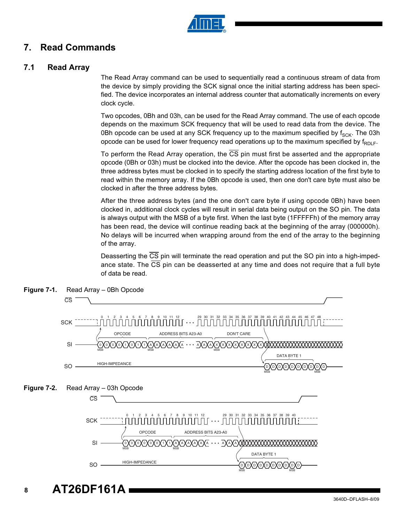

### **7. Read Commands**

### **7.1 Read Array**

The Read Array command can be used to sequentially read a continuous stream of data from the device by simply providing the SCK signal once the initial starting address has been specified. The device incorporates an internal address counter that automatically increments on every clock cycle.

Two opcodes, 0Bh and 03h, can be used for the Read Array command. The use of each opcode depends on the maximum SCK frequency that will be used to read data from the device. The 0Bh opcode can be used at any SCK frequency up to the maximum specified by  $f_{SCK}$ . The 03h opcode can be used for lower frequency read operations up to the maximum specified by  $f_{RD|F}$ .

To perform the Read Array operation, the  $\overline{CS}$  pin must first be asserted and the appropriate opcode (0Bh or 03h) must be clocked into the device. After the opcode has been clocked in, the three address bytes must be clocked in to specify the starting address location of the first byte to read within the memory array. If the 0Bh opcode is used, then one don't care byte must also be clocked in after the three address bytes.

After the three address bytes (and the one don't care byte if using opcode 0Bh) have been clocked in, additional clock cycles will result in serial data being output on the SO pin. The data is always output with the MSB of a byte first. When the last byte (1FFFFFh) of the memory array has been read, the device will continue reading back at the beginning of the array (000000h). No delays will be incurred when wrapping around from the end of the array to the beginning of the array.

Deasserting the CS pin will terminate the read operation and put the SO pin into a high-impedance state. The  $\overline{\text{CS}}$  pin can be deasserted at any time and does not require that a full byte of data be read.



**Figure 7-1.** Read Array – 0Bh Opcode

**AT26DF161A**

**8**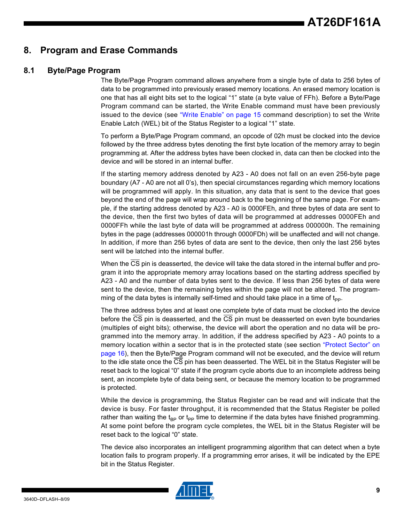### **8. Program and Erase Commands**

### **8.1 Byte/Page Program**

The Byte/Page Program command allows anywhere from a single byte of data to 256 bytes of data to be programmed into previously erased memory locations. An erased memory location is one that has all eight bits set to the logical "1" state (a byte value of FFh). Before a Byte/Page Program command can be started, the Write Enable command must have been previously issued to the device (see ["Write Enable" on page 15](#page-14-1) command description) to set the Write Enable Latch (WEL) bit of the Status Register to a logical "1" state.

To perform a Byte/Page Program command, an opcode of 02h must be clocked into the device followed by the three address bytes denoting the first byte location of the memory array to begin programming at. After the address bytes have been clocked in, data can then be clocked into the device and will be stored in an internal buffer.

If the starting memory address denoted by A23 - A0 does not fall on an even 256-byte page boundary (A7 - A0 are not all 0's), then special circumstances regarding which memory locations will be programmed will apply. In this situation, any data that is sent to the device that goes beyond the end of the page will wrap around back to the beginning of the same page. For example, if the starting address denoted by A23 - A0 is 0000FEh, and three bytes of data are sent to the device, then the first two bytes of data will be programmed at addresses 0000FEh and 0000FFh while the last byte of data will be programmed at address 000000h. The remaining bytes in the page (addresses 000001h through 0000FDh) will be unaffected and will not change. In addition, if more than 256 bytes of data are sent to the device, then only the last 256 bytes sent will be latched into the internal buffer.

When the  $\overline{\text{CS}}$  pin is deasserted, the device will take the data stored in the internal buffer and program it into the appropriate memory array locations based on the starting address specified by A23 - A0 and the number of data bytes sent to the device. If less than 256 bytes of data were sent to the device, then the remaining bytes within the page will not be altered. The programming of the data bytes is internally self-timed and should take place in a time of  $t_{\text{pp}}$ .

The three address bytes and at least one complete byte of data must be clocked into the device before the CS pin is deasserted, and the CS pin must be deasserted on even byte boundaries (multiples of eight bits); otherwise, the device will abort the operation and no data will be programmed into the memory array. In addition, if the address specified by A23 - A0 points to a memory location within a sector that is in the protected state (see section ["Protect Sector" on](#page-15-0) [page 16](#page-15-0)), then the Byte/Page Program command will not be executed, and the device will return to the idle state once the CS pin has been deasserted. The WEL bit in the Status Register will be reset back to the logical "0" state if the program cycle aborts due to an incomplete address being sent, an incomplete byte of data being sent, or because the memory location to be programmed is protected.

While the device is programming, the Status Register can be read and will indicate that the device is busy. For faster throughput, it is recommended that the Status Register be polled rather than waiting the t<sub>BP</sub> or t<sub>PP</sub> time to determine if the data bytes have finished programming. At some point before the program cycle completes, the WEL bit in the Status Register will be reset back to the logical "0" state.

The device also incorporates an intelligent programming algorithm that can detect when a byte location fails to program properly. If a programming error arises, it will be indicated by the EPE bit in the Status Register.

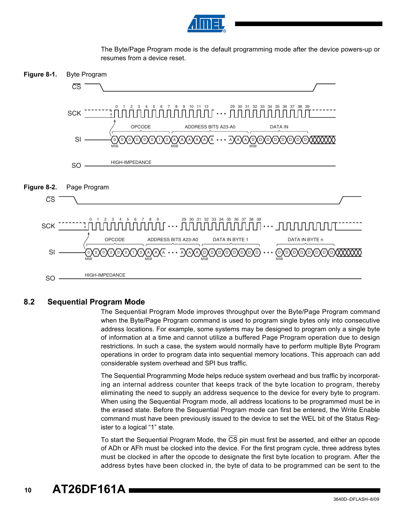

The Byte/Page Program mode is the default programming mode after the device powers-up or resumes from a device reset.





### **8.2 Sequential Program Mode**

The Sequential Program Mode improves throughput over the Byte/Page Program command when the Byte/Page Program command is used to program single bytes only into consecutive address locations. For example, some systems may be designed to program only a single byte of information at a time and cannot utilize a buffered Page Program operation due to design restrictions. In such a case, the system would normally have to perform multiple Byte Program operations in order to program data into sequential memory locations. This approach can add considerable system overhead and SPI bus traffic.

The Sequential Programming Mode helps reduce system overhead and bus traffic by incorporating an internal address counter that keeps track of the byte location to program, thereby eliminating the need to supply an address sequence to the device for every byte to program. When using the Sequential Program mode, all address locations to be programmed must be in the erased state. Before the Sequential Program mode can first be entered, the Write Enable command must have been previously issued to the device to set the WEL bit of the Status Register to a logical "1" state.

To start the Sequential Program Mode, the CS pin must first be asserted, and either an opcode of ADh or AFh must be clocked into the device. For the first program cycle, three address bytes must be clocked in after the opcode to designate the first byte location to program. After the address bytes have been clocked in, the byte of data to be programmed can be sent to the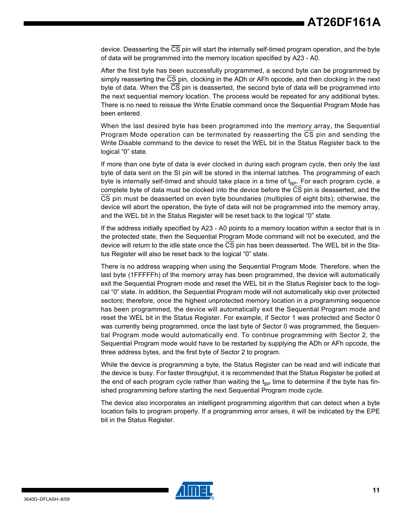device. Deasserting the  $\overline{CS}$  pin will start the internally self-timed program operation, and the byte of data will be programmed into the memory location specified by A23 - A0.

After the first byte has been successfully programmed, a second byte can be programmed by simply reasserting the CS pin, clocking in the ADh or AFh opcode, and then clocking in the next byte of data. When the CS pin is deasserted, the second byte of data will be programmed into the next sequential memory location. The process would be repeated for any additional bytes. There is no need to reissue the Write Enable command once the Sequential Program Mode has been entered.

When the last desired byte has been programmed into the memory array, the Sequential Program Mode operation can be terminated by reasserting the CS pin and sending the Write Disable command to the device to reset the WEL bit in the Status Register back to the logical "0" state.

If more than one byte of data is ever clocked in during each program cycle, then only the last byte of data sent on the SI pin will be stored in the internal latches. The programming of each byte is internally self-timed and should take place in a time of  $t_{\text{BP}}$ . For each program cycle, a complete byte of data must be clocked into the device before the CS pin is deasserted, and the CS pin must be deasserted on even byte boundaries (multiples of eight bits); otherwise, the device will abort the operation, the byte of data will not be programmed into the memory array, and the WEL bit in the Status Register will be reset back to the logical "0" state.

If the address initially specified by A23 - A0 points to a memory location within a sector that is in the protected state, then the Sequential Program Mode command will not be executed, and the device will return to the idle state once the CS pin has been deasserted. The WEL bit in the Status Register will also be reset back to the logical "0" state.

There is no address wrapping when using the Sequential Program Mode. Therefore, when the last byte (1FFFFFh) of the memory array has been programmed, the device will automatically exit the Sequential Program mode and reset the WEL bit in the Status Register back to the logical "0" state. In addition, the Sequential Program mode will not automatically skip over protected sectors; therefore, once the highest unprotected memory location in a programming sequence has been programmed, the device will automatically exit the Sequential Program mode and reset the WEL bit in the Status Register. For example, if Sector 1 was protected and Sector 0 was currently being programmed, once the last byte of Sector 0 was programmed, the Sequential Program mode would automatically end. To continue programming with Sector 2, the Sequential Program mode would have to be restarted by supplying the ADh or AFh opcode, the three address bytes, and the first byte of Sector 2 to program.

While the device is programming a byte, the Status Register can be read and will indicate that the device is busy. For faster throughput, it is recommended that the Status Register be polled at the end of each program cycle rather than waiting the  $t_{BP}$  time to determine if the byte has finished programming before starting the next Sequential Program mode cycle.

The device also incorporates an intelligent programming algorithm that can detect when a byte location fails to program properly. If a programming error arises, it will be indicated by the EPE bit in the Status Register.

![](_page_10_Picture_9.jpeg)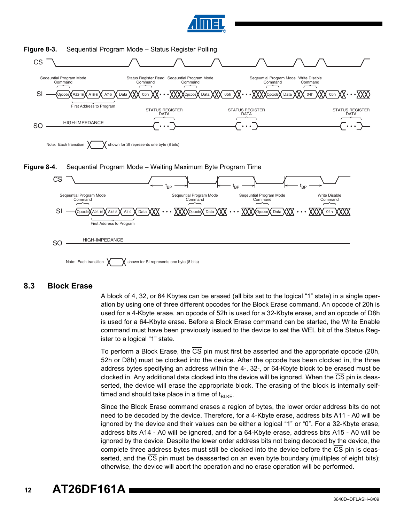![](_page_11_Picture_0.jpeg)

![](_page_11_Figure_1.jpeg)

#### **Figure 8-3.** Sequential Program Mode – Status Register Polling

**8.3 Block Erase**

A block of 4, 32, or 64 Kbytes can be erased (all bits set to the logical "1" state) in a single operation by using one of three different opcodes for the Block Erase command. An opcode of 20h is used for a 4-Kbyte erase, an opcode of 52h is used for a 32-Kbyte erase, and an opcode of D8h is used for a 64-Kbyte erase. Before a Block Erase command can be started, the Write Enable command must have been previously issued to the device to set the WEL bit of the Status Register to a logical "1" state.

To perform a Block Erase, the  $\overline{\text{CS}}$  pin must first be asserted and the appropriate opcode (20h, 52h or D8h) must be clocked into the device. After the opcode has been clocked in, the three address bytes specifying an address within the 4-, 32-, or 64-Kbyte block to be erased must be clocked in. Any additional data clocked into the device will be ignored. When the CS pin is deasserted, the device will erase the appropriate block. The erasing of the block is internally selftimed and should take place in a time of  $t_{BLKF}$ .

Since the Block Erase command erases a region of bytes, the lower order address bits do not need to be decoded by the device. Therefore, for a 4-Kbyte erase, address bits A11 - A0 will be ignored by the device and their values can be either a logical "1" or "0". For a 32-Kbyte erase, address bits A14 - A0 will be ignored, and for a 64-Kbyte erase, address bits A15 - A0 will be ignored by the device. Despite the lower order address bits not being decoded by the device, the complete three address bytes must still be clocked into the device before the CS pin is deasserted, and the CS pin must be deasserted on an even byte boundary (multiples of eight bits); otherwise, the device will abort the operation and no erase operation will be performed.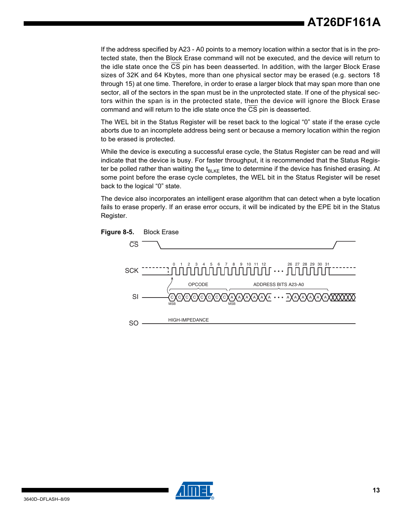If the address specified by A23 - A0 points to a memory location within a sector that is in the protected state, then the Block Erase command will not be executed, and the device will return to the idle state once the CS pin has been deasserted. In addition, with the larger Block Erase sizes of 32K and 64 Kbytes, more than one physical sector may be erased (e.g. sectors 18 through 15) at one time. Therefore, in order to erase a larger block that may span more than one sector, all of the sectors in the span must be in the unprotected state. If one of the physical sectors within the span is in the protected state, then the device will ignore the Block Erase command and will return to the idle state once the CS pin is deasserted.

The WEL bit in the Status Register will be reset back to the logical "0" state if the erase cycle aborts due to an incomplete address being sent or because a memory location within the region to be erased is protected.

While the device is executing a successful erase cycle, the Status Register can be read and will indicate that the device is busy. For faster throughput, it is recommended that the Status Register be polled rather than waiting the  $t_{BLKE}$  time to determine if the device has finished erasing. At some point before the erase cycle completes, the WEL bit in the Status Register will be reset back to the logical "0" state.

The device also incorporates an intelligent erase algorithm that can detect when a byte location fails to erase properly. If an erase error occurs, it will be indicated by the EPE bit in the Status Register.

![](_page_12_Figure_5.jpeg)

![](_page_12_Picture_6.jpeg)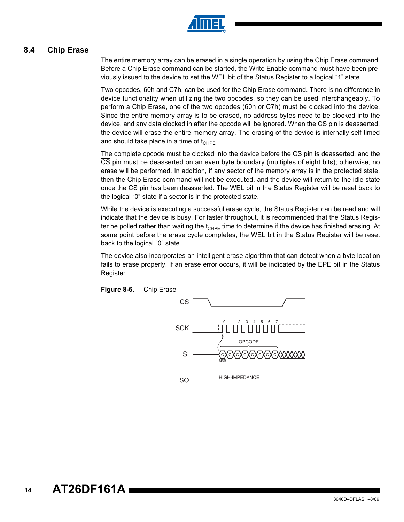![](_page_13_Picture_0.jpeg)

### **8.4 Chip Erase**

The entire memory array can be erased in a single operation by using the Chip Erase command. Before a Chip Erase command can be started, the Write Enable command must have been previously issued to the device to set the WEL bit of the Status Register to a logical "1" state.

Two opcodes, 60h and C7h, can be used for the Chip Erase command. There is no difference in device functionality when utilizing the two opcodes, so they can be used interchangeably. To perform a Chip Erase, one of the two opcodes (60h or C7h) must be clocked into the device. Since the entire memory array is to be erased, no address bytes need to be clocked into the device, and any data clocked in after the opcode will be ignored. When the CS pin is deasserted, the device will erase the entire memory array. The erasing of the device is internally self-timed and should take place in a time of  $t_{CHPE}$ .

The complete opcode must be clocked into the device before the CS pin is deasserted, and the CS pin must be deasserted on an even byte boundary (multiples of eight bits); otherwise, no erase will be performed. In addition, if any sector of the memory array is in the protected state, then the Chip Erase command will not be executed, and the device will return to the idle state once the  $\overline{CS}$  pin has been deasserted. The WEL bit in the Status Register will be reset back to the logical "0" state if a sector is in the protected state.

While the device is executing a successful erase cycle, the Status Register can be read and will indicate that the device is busy. For faster throughput, it is recommended that the Status Register be polled rather than waiting the  $t_{CHPE}$  time to determine if the device has finished erasing. At some point before the erase cycle completes, the WEL bit in the Status Register will be reset back to the logical "0" state.

The device also incorporates an intelligent erase algorithm that can detect when a byte location fails to erase properly. If an erase error occurs, it will be indicated by the EPE bit in the Status Register.

![](_page_13_Figure_7.jpeg)

![](_page_13_Figure_8.jpeg)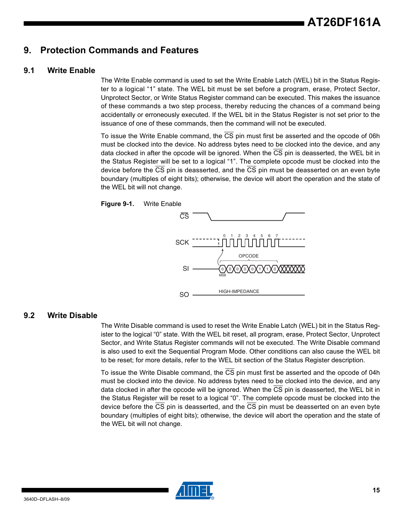### <span id="page-14-0"></span>**9. Protection Commands and Features**

### <span id="page-14-1"></span>**9.1 Write Enable**

The Write Enable command is used to set the Write Enable Latch (WEL) bit in the Status Register to a logical "1" state. The WEL bit must be set before a program, erase, Protect Sector, Unprotect Sector, or Write Status Register command can be executed. This makes the issuance of these commands a two step process, thereby reducing the chances of a command being accidentally or erroneously executed. If the WEL bit in the Status Register is not set prior to the issuance of one of these commands, then the command will not be executed.

To issue the Write Enable command, the CS pin must first be asserted and the opcode of 06h must be clocked into the device. No address bytes need to be clocked into the device, and any data clocked in after the opcode will be ignored. When the CS pin is deasserted, the WEL bit in the Status Register will be set to a logical "1". The complete opcode must be clocked into the device before the CS pin is deasserted, and the CS pin must be deasserted on an even byte boundary (multiples of eight bits); otherwise, the device will abort the operation and the state of the WEL bit will not change.

![](_page_14_Figure_5.jpeg)

**Figure 9-1.** Write Enable

### **9.2 Write Disable**

The Write Disable command is used to reset the Write Enable Latch (WEL) bit in the Status Register to the logical "0" state. With the WEL bit reset, all program, erase, Protect Sector, Unprotect Sector, and Write Status Register commands will not be executed. The Write Disable command is also used to exit the Sequential Program Mode. Other conditions can also cause the WEL bit to be reset; for more details, refer to the WEL bit section of the Status Register description.

To issue the Write Disable command, the CS pin must first be asserted and the opcode of 04h must be clocked into the device. No address bytes need to be clocked into the device, and any data clocked in after the opcode will be ignored. When the CS pin is deasserted, the WEL bit in the Status Register will be reset to a logical "0". The complete opcode must be clocked into the device before the  $\overline{CS}$  pin is deasserted, and the  $\overline{CS}$  pin must be deasserted on an even byte boundary (multiples of eight bits); otherwise, the device will abort the operation and the state of the WEL bit will not change.

![](_page_14_Picture_10.jpeg)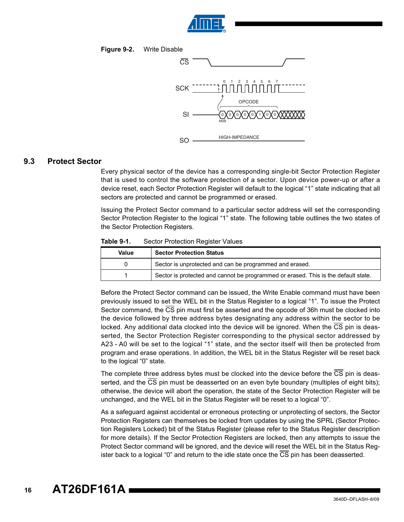![](_page_15_Picture_0.jpeg)

![](_page_15_Figure_1.jpeg)

![](_page_15_Figure_2.jpeg)

#### <span id="page-15-0"></span>**9.3 Protect Sector**

Every physical sector of the device has a corresponding single-bit Sector Protection Register that is used to control the software protection of a sector. Upon device power-up or after a device reset, each Sector Protection Register will default to the logical "1" state indicating that all sectors are protected and cannot be programmed or erased.

Issuing the Protect Sector command to a particular sector address will set the corresponding Sector Protection Register to the logical "1" state. The following table outlines the two states of the Sector Protection Registers.

<span id="page-15-1"></span>

| Table 9-1. | Sector Protection Register Values |
|------------|-----------------------------------|
|------------|-----------------------------------|

| Value | <b>Sector Protection Status</b>                                                    |  |
|-------|------------------------------------------------------------------------------------|--|
|       | Sector is unprotected and can be programmed and erased.                            |  |
|       | Sector is protected and cannot be programmed or erased. This is the default state. |  |

Before the Protect Sector command can be issued, the Write Enable command must have been previously issued to set the WEL bit in the Status Register to a logical "1". To issue the Protect Sector command, the CS pin must first be asserted and the opcode of 36h must be clocked into the device followed by three address bytes designating any address within the sector to be locked. Any additional data clocked into the device will be ignored. When the CS pin is deasserted, the Sector Protection Register corresponding to the physical sector addressed by A23 - A0 will be set to the logical "1" state, and the sector itself will then be protected from program and erase operations. In addition, the WEL bit in the Status Register will be reset back to the logical "0" state.

The complete three address bytes must be clocked into the device before the CS pin is deasserted, and the  $\overline{\text{CS}}$  pin must be deasserted on an even byte boundary (multiples of eight bits); otherwise, the device will abort the operation, the state of the Sector Protection Register will be unchanged, and the WEL bit in the Status Register will be reset to a logical "0".

As a safeguard against accidental or erroneous protecting or unprotecting of sectors, the Sector Protection Registers can themselves be locked from updates by using the SPRL (Sector Protection Registers Locked) bit of the Status Register (please refer to the Status Register description for more details). If the Sector Protection Registers are locked, then any attempts to issue the Protect Sector command will be ignored, and the device will reset the WEL bit in the Status Register back to a logical "0" and return to the idle state once the CS pin has been deasserted.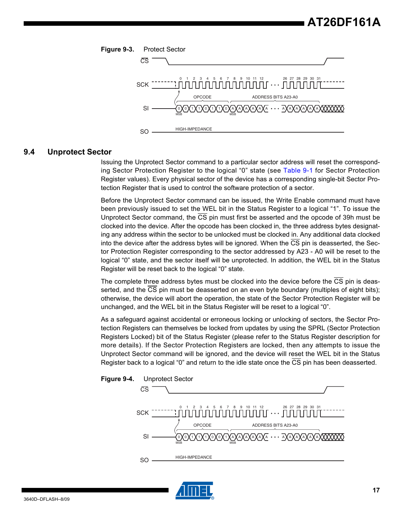![](_page_16_Figure_1.jpeg)

#### **9.4 Unprotect Sector**

Issuing the Unprotect Sector command to a particular sector address will reset the corresponding Sector Protection Register to the logical "0" state (see [Table 9-1](#page-15-1) for Sector Protection Register values). Every physical sector of the device has a corresponding single-bit Sector Protection Register that is used to control the software protection of a sector.

Before the Unprotect Sector command can be issued, the Write Enable command must have been previously issued to set the WEL bit in the Status Register to a logical "1". To issue the Unprotect Sector command, the CS pin must first be asserted and the opcode of 39h must be clocked into the device. After the opcode has been clocked in, the three address bytes designating any address within the sector to be unlocked must be clocked in. Any additional data clocked into the device after the address bytes will be ignored. When the  $\overline{\text{CS}}$  pin is deasserted, the Sector Protection Register corresponding to the sector addressed by A23 - A0 will be reset to the logical "0" state, and the sector itself will be unprotected. In addition, the WEL bit in the Status Register will be reset back to the logical "0" state.

The complete three address bytes must be clocked into the device before the  $\overline{\text{CS}}$  pin is deasserted, and the CS pin must be deasserted on an even byte boundary (multiples of eight bits); otherwise, the device will abort the operation, the state of the Sector Protection Register will be unchanged, and the WEL bit in the Status Register will be reset to a logical "0".

As a safeguard against accidental or erroneous locking or unlocking of sectors, the Sector Protection Registers can themselves be locked from updates by using the SPRL (Sector Protection Registers Locked) bit of the Status Register (please refer to the Status Register description for more details). If the Sector Protection Registers are locked, then any attempts to issue the Unprotect Sector command will be ignored, and the device will reset the WEL bit in the Status Register back to a logical "0" and return to the idle state once the CS pin has been deasserted.

![](_page_16_Figure_7.jpeg)

![](_page_16_Picture_8.jpeg)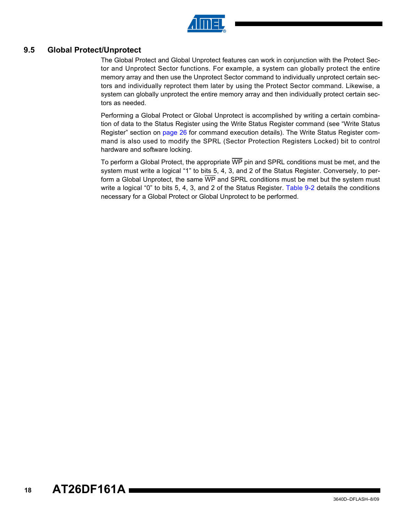![](_page_17_Picture_0.jpeg)

### <span id="page-17-0"></span>**9.5 Global Protect/Unprotect**

The Global Protect and Global Unprotect features can work in conjunction with the Protect Sector and Unprotect Sector functions. For example, a system can globally protect the entire memory array and then use the Unprotect Sector command to individually unprotect certain sectors and individually reprotect them later by using the Protect Sector command. Likewise, a system can globally unprotect the entire memory array and then individually protect certain sectors as needed.

Performing a Global Protect or Global Unprotect is accomplished by writing a certain combination of data to the Status Register using the Write Status Register command (see "Write Status Register" section on [page 26](#page-25-0) for command execution details). The Write Status Register command is also used to modify the SPRL (Sector Protection Registers Locked) bit to control hardware and software locking.

To perform a Global Protect, the appropriate  $\overline{WP}$  pin and SPRL conditions must be met, and the system must write a logical "1" to bits 5, 4, 3, and 2 of the Status Register. Conversely, to perform a Global Unprotect, the same WP and SPRL conditions must be met but the system must write a logical "0" to bits 5, 4, 3, and 2 of the Status Register. [Table 9-2](#page-18-0) details the conditions necessary for a Global Protect or Global Unprotect to be performed.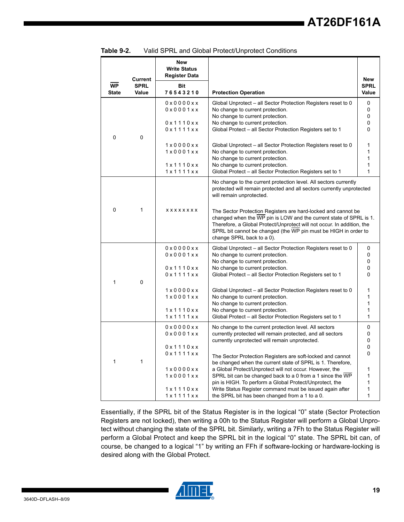|                           |                      |                                                                                               | <b>Vally OF INL and Global FTOLCO/OHDIOLCO/CONDITIONS</b>                                                                                                                                                                                                                                                                                                                                                                 |                                       |
|---------------------------|----------------------|-----------------------------------------------------------------------------------------------|---------------------------------------------------------------------------------------------------------------------------------------------------------------------------------------------------------------------------------------------------------------------------------------------------------------------------------------------------------------------------------------------------------------------------|---------------------------------------|
|                           | <b>Current</b>       | New<br><b>Write Status</b><br><b>Register Data</b>                                            |                                                                                                                                                                                                                                                                                                                                                                                                                           | <b>New</b>                            |
| <b>WP</b><br><b>State</b> | <b>SPRL</b><br>Value | Bit<br>76543210                                                                               | <b>Protection Operation</b>                                                                                                                                                                                                                                                                                                                                                                                               | <b>SPRL</b><br>Value                  |
|                           |                      | $0 \times 00000 \times x$<br>$0 \times 0001$ $x \times$<br>0 x 1 1 1 0 x x<br>0 x 1 1 1 1 x x | Global Unprotect – all Sector Protection Registers reset to 0<br>No change to current protection.<br>No change to current protection.<br>No change to current protection.<br>Global Protect - all Sector Protection Registers set to 1                                                                                                                                                                                    | 0<br>0<br>0<br>0<br>0                 |
| 0                         | 0                    | 1x0000xx<br>1x0001xx<br>1x1110xx<br>1x1111xx                                                  | Global Unprotect - all Sector Protection Registers reset to 0<br>No change to current protection.<br>No change to current protection.<br>No change to current protection.<br>Global Protect - all Sector Protection Registers set to 1                                                                                                                                                                                    | 1<br>1<br>1<br>1<br>1                 |
|                           |                      |                                                                                               | No change to the current protection level. All sectors currently<br>protected will remain protected and all sectors currently unprotected<br>will remain unprotected.                                                                                                                                                                                                                                                     |                                       |
| 0                         | $\mathbf{1}$         | <b>xxxxxxxx</b>                                                                               | The Sector Protection Registers are hard-locked and cannot be<br>changed when the WP pin is LOW and the current state of SPRL is 1.<br>Therefore, a Global Protect/Unprotect will not occur. In addition, the<br>SPRL bit cannot be changed (the WP pin must be HIGH in order to<br>change SPRL back to a 0).                                                                                                             |                                       |
|                           |                      | 0x0000xx<br>$0 \times 0001$ $x \times$<br>0x1110xx<br>0 x 1 1 1 1 x x                         | Global Unprotect - all Sector Protection Registers reset to 0<br>No change to current protection.<br>No change to current protection.<br>No change to current protection.<br>Global Protect - all Sector Protection Registers set to 1                                                                                                                                                                                    | 0<br>0<br>0<br>0<br>0                 |
| 1                         | 0                    | 1x0000xx<br>1x0001xx<br>1x1110xx<br>1x1111xx                                                  | Global Unprotect - all Sector Protection Registers reset to 0<br>No change to current protection.<br>No change to current protection.<br>No change to current protection.<br>Global Protect - all Sector Protection Registers set to 1                                                                                                                                                                                    | 1<br>1<br>1<br>1<br>1                 |
|                           |                      | $0 \times 00000 \times x$<br>$0$ x $0$ $0$ $0$ $1$ $\times$ $\times$<br>0x1110xx              | No change to the current protection level. All sectors<br>currently protected will remain protected, and all sectors<br>currently unprotected will remain unprotected.                                                                                                                                                                                                                                                    | 0<br>0<br>0<br>0                      |
| 1                         | 1                    | 0 x 1 1 1 1 x x<br>1x0000xx<br>1x0001xx<br>1x1110xx<br>1x1111xx                               | The Sector Protection Registers are soft-locked and cannot<br>be changed when the current state of SPRL is 1. Therefore,<br>a Global Protect/Unprotect will not occur. However, the<br>SPRL bit can be changed back to a 0 from a 1 since the WP<br>pin is HIGH. To perform a Global Protect/Unprotect, the<br>Write Status Register command must be issued again after<br>the SPRL bit has been changed from a 1 to a 0. | 0<br>1<br>1<br>$\mathbf{1}$<br>1<br>1 |

<span id="page-18-0"></span>

| Table 9-2. | Valid SPRL and Global Protect/Unprotect Conditions |
|------------|----------------------------------------------------|
|------------|----------------------------------------------------|

Essentially, if the SPRL bit of the Status Register is in the logical "0" state (Sector Protection Registers are not locked), then writing a 00h to the Status Register will perform a Global Unprotect without changing the state of the SPRL bit. Similarly, writing a 7Fh to the Status Register will perform a Global Protect and keep the SPRL bit in the logical "0" state. The SPRL bit can, of course, be changed to a logical "1" by writing an FFh if software-locking or hardware-locking is desired along with the Global Protect.

![](_page_18_Picture_4.jpeg)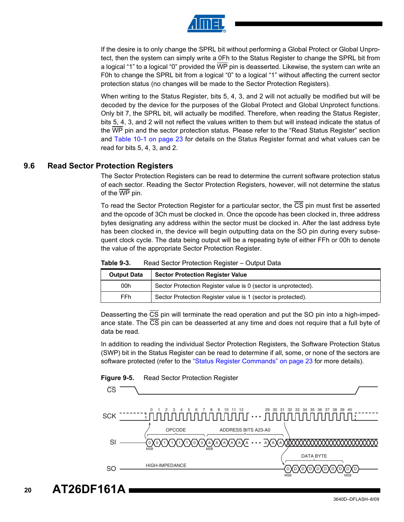![](_page_19_Picture_0.jpeg)

If the desire is to only change the SPRL bit without performing a Global Protect or Global Unprotect, then the system can simply write a 0Fh to the Status Register to change the SPRL bit from a logical "1" to a logical "0" provided the WP pin is deasserted. Likewise, the system can write an F0h to change the SPRL bit from a logical "0" to a logical "1" without affecting the current sector protection status (no changes will be made to the Sector Protection Registers).

When writing to the Status Register, bits 5, 4, 3, and 2 will not actually be modified but will be decoded by the device for the purposes of the Global Protect and Global Unprotect functions. Only bit 7, the SPRL bit, will actually be modified. Therefore, when reading the Status Register, bits 5, 4, 3, and 2 will not reflect the values written to them but will instead indicate the status of the WP pin and the sector protection status. Please refer to the "Read Status Register" section and [Table 10-1 on page 23](#page-22-1) for details on the Status Register format and what values can be read for bits 5, 4, 3, and 2.

#### **9.6 Read Sector Protection Registers**

The Sector Protection Registers can be read to determine the current software protection status of each sector. Reading the Sector Protection Registers, however, will not determine the status of the WP pin.

To read the Sector Protection Register for a particular sector, the CS pin must first be asserted and the opcode of 3Ch must be clocked in. Once the opcode has been clocked in, three address bytes designating any address within the sector must be clocked in. After the last address byte has been clocked in, the device will begin outputting data on the SO pin during every subsequent clock cycle. The data being output will be a repeating byte of either FFh or 00h to denote the value of the appropriate Sector Protection Register.

| <b>Sector Protection Register Value</b><br><b>Output Data</b> |                                                                |
|---------------------------------------------------------------|----------------------------------------------------------------|
| 00h                                                           | Sector Protection Register value is 0 (sector is unprotected). |
| FFh                                                           | Sector Protection Register value is 1 (sector is protected).   |

**Table 9-3.** Read Sector Protection Register – Output Data

Deasserting the CS pin will terminate the read operation and put the SO pin into a high-impedance state. The  $\overline{CS}$  pin can be deasserted at any time and does not require that a full byte of data be read.

In addition to reading the individual Sector Protection Registers, the Software Protection Status (SWP) bit in the Status Register can be read to determine if all, some, or none of the sectors are software protected (refer to the ["Status Register Commands" on page 23](#page-22-0) for more details).

![](_page_19_Figure_10.jpeg)

![](_page_19_Figure_11.jpeg)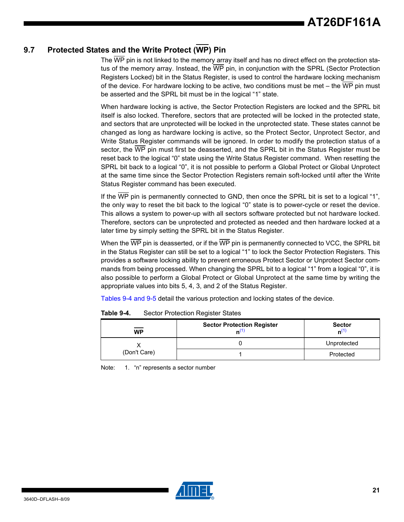### **9.7 Protected States and the Write Protect (WP) Pin**

The  $\overline{\text{WP}}$  pin is not linked to the memory array itself and has no direct effect on the protection status of the memory array. Instead, the WP pin, in conjunction with the SPRL (Sector Protection Registers Locked) bit in the Status Register, is used to control the hardware locking mechanism of the device. For hardware locking to be active, two conditions must be met – the WP pin must be asserted and the SPRL bit must be in the logical "1" state.

When hardware locking is active, the Sector Protection Registers are locked and the SPRL bit itself is also locked. Therefore, sectors that are protected will be locked in the protected state, and sectors that are unprotected will be locked in the unprotected state. These states cannot be changed as long as hardware locking is active, so the Protect Sector, Unprotect Sector, and Write Status Register commands will be ignored. In order to modify the protection status of a sector, the WP pin must first be deasserted, and the SPRL bit in the Status Register must be reset back to the logical "0" state using the Write Status Register command. When resetting the SPRL bit back to a logical "0", it is not possible to perform a Global Protect or Global Unprotect at the same time since the Sector Protection Registers remain soft-locked until after the Write Status Register command has been executed.

If the WP pin is permanently connected to GND, then once the SPRL bit is set to a logical "1", the only way to reset the bit back to the logical "0" state is to power-cycle or reset the device. This allows a system to power-up with all sectors software protected but not hardware locked. Therefore, sectors can be unprotected and protected as needed and then hardware locked at a later time by simply setting the SPRL bit in the Status Register.

When the  $\overline{WP}$  pin is deasserted, or if the  $\overline{WP}$  pin is permanently connected to VCC, the SPRL bit in the Status Register can still be set to a logical "1" to lock the Sector Protection Registers. This provides a software locking ability to prevent erroneous Protect Sector or Unprotect Sector commands from being processed. When changing the SPRL bit to a logical "1" from a logical "0", it is also possible to perform a Global Protect or Global Unprotect at the same time by writing the appropriate values into bits 5, 4, 3, and 2 of the Status Register.

[Tables 9-4 and](#page-20-0) [9-5](#page-21-0) detail the various protection and locking states of the device.

| _____<br><b>WP</b> | <b>Sector Protection Register</b><br>n\') | <b>Sector</b><br>n <sup>(1)</sup> |
|--------------------|-------------------------------------------|-----------------------------------|
|                    |                                           | Unprotected                       |
| (Don't Care)       |                                           | Protected                         |

<span id="page-20-0"></span>**Table 9-4.** Sector Protection Register States

<span id="page-20-1"></span>Note: 1. "n" represents a sector number

![](_page_20_Picture_10.jpeg)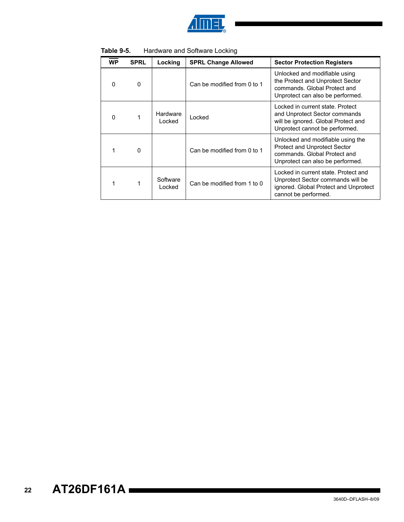![](_page_21_Picture_0.jpeg)

| <b>WP</b> | <b>SPRL</b> | Locking            | <b>SPRL Change Allowed</b>  | <b>Sector Protection Registers</b>                                                                                                           |
|-----------|-------------|--------------------|-----------------------------|----------------------------------------------------------------------------------------------------------------------------------------------|
| $\Omega$  | $\Omega$    |                    | Can be modified from 0 to 1 | Unlocked and modifiable using<br>the Protect and Unprotect Sector<br>commands. Global Protect and<br>Unprotect can also be performed.        |
| $\Omega$  |             | Hardware<br>Locked | Locked                      | Locked in current state. Protect<br>and Unprotect Sector commands<br>will be ignored. Global Protect and<br>Unprotect cannot be performed.   |
|           | $\Omega$    |                    | Can be modified from 0 to 1 | Unlocked and modifiable using the<br><b>Protect and Unprotect Sector</b><br>commands. Global Protect and<br>Unprotect can also be performed. |
| 1         |             | Software<br>Locked | Can be modified from 1 to 0 | Locked in current state. Protect and<br>Unprotect Sector commands will be<br>ignored. Global Protect and Unprotect<br>cannot be performed.   |

<span id="page-21-0"></span>**Table 9-5.** Hardware and Software Locking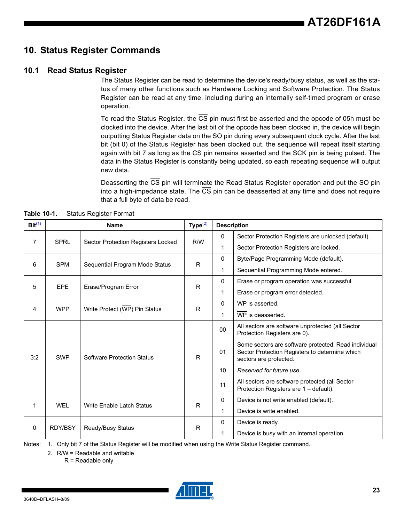### <span id="page-22-0"></span>**10. Status Register Commands**

#### **10.1 Read Status Register**

The Status Register can be read to determine the device's ready/busy status, as well as the status of many other functions such as Hardware Locking and Software Protection. The Status Register can be read at any time, including during an internally self-timed program or erase operation.

To read the Status Register, the CS pin must first be asserted and the opcode of 05h must be clocked into the device. After the last bit of the opcode has been clocked in, the device will begin outputting Status Register data on the SO pin during every subsequent clock cycle. After the last bit (bit 0) of the Status Register has been clocked out, the sequence will repeat itself starting again with bit 7 as long as the CS pin remains asserted and the SCK pin is being pulsed. The data in the Status Register is constantly being updated, so each repeating sequence will output new data.

Deasserting the CS pin will terminate the Read Status Register operation and put the SO pin into a high-impedance state. The CS pin can be deasserted at any time and does not require that a full byte of data be read.

| Bit <sup>(1)</sup> |                | <b>Name</b>                        | Type $^{(2)}$ |             | <b>Description</b>                                                                                                               |
|--------------------|----------------|------------------------------------|---------------|-------------|----------------------------------------------------------------------------------------------------------------------------------|
|                    |                |                                    |               | $\Omega$    | Sector Protection Registers are unlocked (default).                                                                              |
| 7                  | <b>SPRL</b>    | Sector Protection Registers Locked | R/W           | 1           | Sector Protection Registers are locked.                                                                                          |
|                    |                |                                    |               | $\mathbf 0$ | Byte/Page Programming Mode (default).                                                                                            |
| 6                  | <b>SPM</b>     | Sequential Program Mode Status     | R             | 1           | Sequential Programming Mode entered.                                                                                             |
| 5                  | <b>EPE</b>     | Erase/Program Error                | 0<br>R.       |             | Erase or program operation was successful.                                                                                       |
|                    |                |                                    |               | 1           | Erase or program error detected.                                                                                                 |
| 4                  | <b>WPP</b>     | Write Protect (WP) Pin Status      | R             | 0           | WP is asserted.                                                                                                                  |
|                    |                |                                    |               | 1           | WP is deasserted.                                                                                                                |
|                    |                |                                    |               | 00          | All sectors are software unprotected (all Sector<br>Protection Registers are 0).                                                 |
| 3:2                | <b>SWP</b>     | <b>Software Protection Status</b>  | $\mathsf{R}$  | 01          | Some sectors are software protected. Read individual<br>Sector Protection Registers to determine which<br>sectors are protected. |
|                    |                |                                    |               | 10          | Reserved for future use.                                                                                                         |
|                    |                |                                    |               | 11          | All sectors are software protected (all Sector<br>Protection Registers are 1 - default).                                         |
| 1                  | <b>WEL</b>     | Write Enable Latch Status          | R             | 0           | Device is not write enabled (default).                                                                                           |
|                    |                |                                    |               | 1           | Device is write enabled.                                                                                                         |
|                    |                |                                    |               | 0           | Device is ready.                                                                                                                 |
| 0                  | <b>RDY/BSY</b> | Ready/Busy Status                  | R             | 1           | Device is busy with an internal operation.                                                                                       |

<span id="page-22-1"></span>**Table 10-1.** Status Register Format

<span id="page-22-3"></span><span id="page-22-2"></span>Notes: 1. Only bit 7 of the Status Register will be modified when using the Write Status Register command.

2. R/W = Readable and writable

R = Readable only

![](_page_22_Picture_11.jpeg)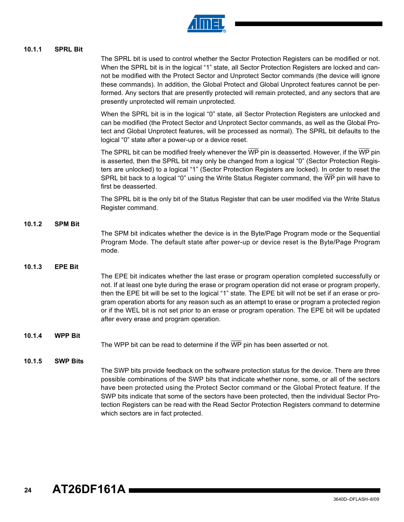![](_page_23_Picture_0.jpeg)

#### **10.1.1 SPRL Bit**

The SPRL bit is used to control whether the Sector Protection Registers can be modified or not. When the SPRL bit is in the logical "1" state, all Sector Protection Registers are locked and cannot be modified with the Protect Sector and Unprotect Sector commands (the device will ignore these commands). In addition, the Global Protect and Global Unprotect features cannot be performed. Any sectors that are presently protected will remain protected, and any sectors that are presently unprotected will remain unprotected.

When the SPRL bit is in the logical "0" state, all Sector Protection Registers are unlocked and can be modified (the Protect Sector and Unprotect Sector commands, as well as the Global Protect and Global Unprotect features, will be processed as normal). The SPRL bit defaults to the logical "0" state after a power-up or a device reset.

The SPRL bit can be modified freely whenever the  $\overline{\text{WP}}$  pin is deasserted. However, if the  $\overline{\text{WP}}$  pin is asserted, then the SPRL bit may only be changed from a logical "0" (Sector Protection Registers are unlocked) to a logical "1" (Sector Protection Registers are locked). In order to reset the SPRL bit back to a logical "0" using the Write Status Register command, the WP pin will have to first be deasserted.

The SPRL bit is the only bit of the Status Register that can be user modified via the Write Status Register command.

#### **10.1.2 SPM Bit**

The SPM bit indicates whether the device is in the Byte/Page Program mode or the Sequential Program Mode. The default state after power-up or device reset is the Byte/Page Program mode.

#### **10.1.3 EPE Bit**

The EPE bit indicates whether the last erase or program operation completed successfully or not. If at least one byte during the erase or program operation did not erase or program properly, then the EPE bit will be set to the logical "1" state. The EPE bit will not be set if an erase or program operation aborts for any reason such as an attempt to erase or program a protected region or if the WEL bit is not set prior to an erase or program operation. The EPE bit will be updated after every erase and program operation.

#### **10.1.4 WPP Bit**

The WPP bit can be read to determine if the  $\overline{WP}$  pin has been asserted or not.

#### **10.1.5 SWP Bits**

The SWP bits provide feedback on the software protection status for the device. There are three possible combinations of the SWP bits that indicate whether none, some, or all of the sectors have been protected using the Protect Sector command or the Global Protect feature. If the SWP bits indicate that some of the sectors have been protected, then the individual Sector Protection Registers can be read with the Read Sector Protection Registers command to determine which sectors are in fact protected.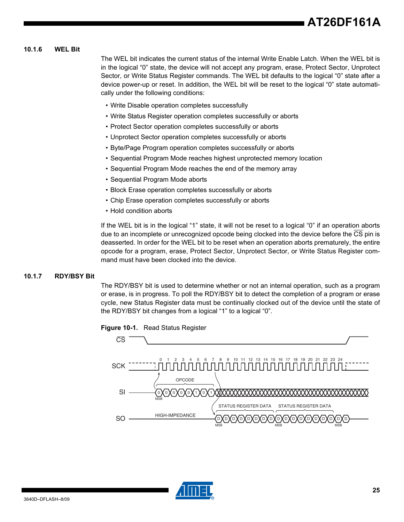#### **10.1.6 WEL Bit**

The WEL bit indicates the current status of the internal Write Enable Latch. When the WEL bit is in the logical "0" state, the device will not accept any program, erase, Protect Sector, Unprotect Sector, or Write Status Register commands. The WEL bit defaults to the logical "0" state after a device power-up or reset. In addition, the WEL bit will be reset to the logical "0" state automatically under the following conditions:

- Write Disable operation completes successfully
- Write Status Register operation completes successfully or aborts
- Protect Sector operation completes successfully or aborts
- Unprotect Sector operation completes successfully or aborts
- Byte/Page Program operation completes successfully or aborts
- Sequential Program Mode reaches highest unprotected memory location
- Sequential Program Mode reaches the end of the memory array
- Sequential Program Mode aborts
- Block Erase operation completes successfully or aborts
- Chip Erase operation completes successfully or aborts
- Hold condition aborts

If the WEL bit is in the logical "1" state, it will not be reset to a logical "0" if an operation aborts due to an incomplete or unrecognized opcode being clocked into the device before the CS pin is deasserted. In order for the WEL bit to be reset when an operation aborts prematurely, the entire opcode for a program, erase, Protect Sector, Unprotect Sector, or Write Status Register command must have been clocked into the device.

#### **10.1.7 RDY/BSY Bit**

The RDY/BSY bit is used to determine whether or not an internal operation, such as a program or erase, is in progress. To poll the RDY/BSY bit to detect the completion of a program or erase cycle, new Status Register data must be continually clocked out of the device until the state of the RDY/BSY bit changes from a logical "1" to a logical "0".

**Figure 10-1.** Read Status Register

![](_page_24_Figure_18.jpeg)

![](_page_24_Picture_19.jpeg)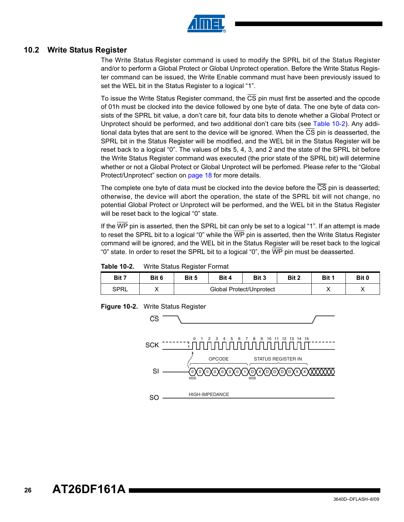![](_page_25_Picture_0.jpeg)

#### <span id="page-25-0"></span>**10.2 Write Status Register**

The Write Status Register command is used to modify the SPRL bit of the Status Register and/or to perform a Global Protect or Global Unprotect operation. Before the Write Status Register command can be issued, the Write Enable command must have been previously issued to set the WEL bit in the Status Register to a logical "1".

To issue the Write Status Register command, the  $\overline{\text{CS}}$  pin must first be asserted and the opcode of 01h must be clocked into the device followed by one byte of data. The one byte of data consists of the SPRL bit value, a don't care bit, four data bits to denote whether a Global Protect or Unprotect should be performed, and two additional don't care bits (see [Table 10-2\)](#page-25-1). Any additional data bytes that are sent to the device will be ignored. When the CS pin is deasserted, the SPRL bit in the Status Register will be modified, and the WEL bit in the Status Register will be reset back to a logical "0". The values of bits 5, 4, 3, and 2 and the state of the SPRL bit before the Write Status Register command was executed (the prior state of the SPRL bit) will determine whether or not a Global Protect or Global Unprotect will be perfomed. Please refer to the "Global Protect/Unprotect" section on [page 18](#page-17-0) for more details.

The complete one byte of data must be clocked into the device before the CS pin is deasserted; otherwise, the device will abort the operation, the state of the SPRL bit will not change, no potential Global Protect or Unprotect will be performed, and the WEL bit in the Status Register will be reset back to the logical "0" state.

If the  $\overline{\text{WP}}$  pin is asserted, then the SPRL bit can only be set to a logical "1". If an attempt is made to reset the SPRL bit to a logical "0" while the WP pin is asserted, then the Write Status Register command will be ignored, and the WEL bit in the Status Register will be reset back to the logical "0" state. In order to reset the SPRL bit to a logical "0", the  $\overline{\text{WP}}$  pin must be deasserted.

<span id="page-25-1"></span>**Table 10-2.** Write Status Register Format

| Bit 7 | Bit 6 | Bit 5                    | Bit 4 | Bit 3 | Bit 2 | Bit 1 | Bit 0   |
|-------|-------|--------------------------|-------|-------|-------|-------|---------|
| SPRL  |       | Global Protect/Unprotect |       |       |       |       | $\cdot$ |

**Figure 10-2.** Write Status Register

![](_page_25_Figure_9.jpeg)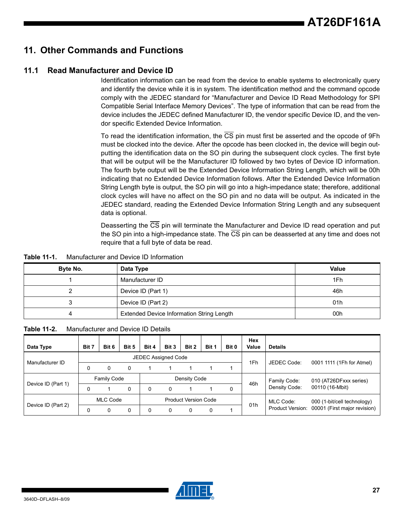### **11. Other Commands and Functions**

### **11.1 Read Manufacturer and Device ID**

Identification information can be read from the device to enable systems to electronically query and identify the device while it is in system. The identification method and the command opcode comply with the JEDEC standard for "Manufacturer and Device ID Read Methodology for SPI Compatible Serial Interface Memory Devices". The type of information that can be read from the device includes the JEDEC defined Manufacturer ID, the vendor specific Device ID, and the vendor specific Extended Device Information.

To read the identification information, the CS pin must first be asserted and the opcode of 9Fh must be clocked into the device. After the opcode has been clocked in, the device will begin outputting the identification data on the SO pin during the subsequent clock cycles. The first byte that will be output will be the Manufacturer ID followed by two bytes of Device ID information. The fourth byte output will be the Extended Device Information String Length, which will be 00h indicating that no Extended Device Information follows. After the Extended Device Information String Length byte is output, the SO pin will go into a high-impedance state; therefore, additional clock cycles will have no affect on the SO pin and no data will be output. As indicated in the JEDEC standard, reading the Extended Device Information String Length and any subsequent data is optional.

Deasserting the CS pin will terminate the Manufacturer and Device ID read operation and put the SO pin into a high-impedance state. The CS pin can be deasserted at any time and does not require that a full byte of data be read.

| Manufacturer and Device ID Information | Table 11-1. |
|----------------------------------------|-------------|
|----------------------------------------|-------------|

| Byte No. | Data Type                                        | <b>Value</b> |
|----------|--------------------------------------------------|--------------|
|          | Manufacturer ID                                  | 1Fh          |
|          | Device ID (Part 1)                               | 46h          |
|          | Device ID (Part 2)                               | 01h          |
|          | <b>Extended Device Information String Length</b> | 00h          |

| Table 11-2.<br>Manufacturer and Device ID Details |
|---------------------------------------------------|
|---------------------------------------------------|

| Data Type          | Bit 7                                   | Bit 6 | Bit 5 | Bit 4        | Bit 3    | Bit 2     | Bit 1                       | Bit 0        | Hex<br>Value           | <b>Details</b> |                                               |  |
|--------------------|-----------------------------------------|-------|-------|--------------|----------|-----------|-----------------------------|--------------|------------------------|----------------|-----------------------------------------------|--|
|                    | <b>JEDEC Assigned Code</b>              |       |       |              |          |           |                             |              |                        |                |                                               |  |
| Manufacturer ID    |                                         | 0     | 0     |              |          |           |                             |              | 1Fh                    | JEDEC Code:    | 0001 1111 (1Fh for Atmel)                     |  |
|                    | Family Code                             |       |       | Density Code |          |           |                             | Family Code: | 010 (AT26DFxxx series) |                |                                               |  |
| Device ID (Part 1) |                                         |       | 0     | 0            | 0        |           |                             | 0            | 46h                    | Density Code:  | 00110 (16-Mbit)                               |  |
|                    | MLC Code<br><b>Product Version Code</b> |       |       |              |          | MLC Code: | 000 (1-bit/cell technology) |              |                        |                |                                               |  |
| Device ID (Part 2) |                                         | ი     | 0     | 0            | $\Omega$ |           |                             |              | 01h                    |                | Product Version: 00001 (First major revision) |  |

![](_page_26_Picture_10.jpeg)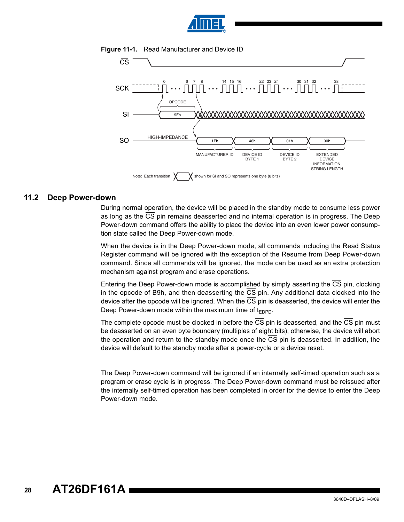![](_page_27_Picture_0.jpeg)

![](_page_27_Figure_1.jpeg)

**Figure 11-1.** Read Manufacturer and Device ID

#### **11.2 Deep Power-down**

During normal operation, the device will be placed in the standby mode to consume less power as long as the CS pin remains deasserted and no internal operation is in progress. The Deep Power-down command offers the ability to place the device into an even lower power consumption state called the Deep Power-down mode.

When the device is in the Deep Power-down mode, all commands including the Read Status Register command will be ignored with the exception of the Resume from Deep Power-down command. Since all commands will be ignored, the mode can be used as an extra protection mechanism against program and erase operations.

Entering the Deep Power-down mode is accomplished by simply asserting the CS pin, clocking in the opcode of B9h, and then deasserting the CS pin. Any additional data clocked into the device after the opcode will be ignored. When the CS pin is deasserted, the device will enter the Deep Power-down mode within the maximum time of  $t_{\text{FDPD}}$ .

The complete opcode must be clocked in before the  $\overline{CS}$  pin is deasserted, and the  $\overline{CS}$  pin must be deasserted on an even byte boundary (multiples of eight bits); otherwise, the device will abort the operation and return to the standby mode once the CS pin is deasserted. In addition, the device will default to the standby mode after a power-cycle or a device reset.

The Deep Power-down command will be ignored if an internally self-timed operation such as a program or erase cycle is in progress. The Deep Power-down command must be reissued after the internally self-timed operation has been completed in order for the device to enter the Deep Power-down mode.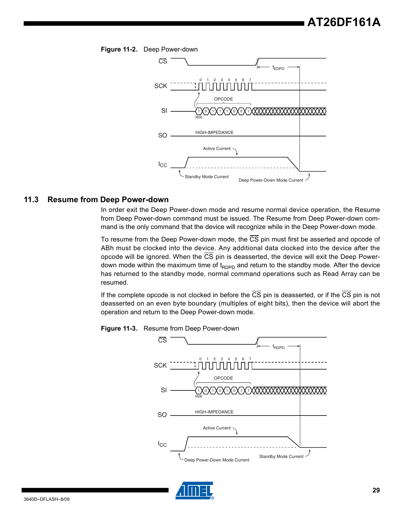![](_page_28_Figure_1.jpeg)

**Figure 11-2.** Deep Power-down

#### **11.3 Resume from Deep Power-down**

In order exit the Deep Power-down mode and resume normal device operation, the Resume from Deep Power-down command must be issued. The Resume from Deep Power-down command is the only command that the device will recognize while in the Deep Power-down mode.

To resume from the Deep Power-down mode, the  $\overline{\text{CS}}$  pin must first be asserted and opcode of ABh must be clocked into the device. Any additional data clocked into the device after the opcode will be ignored. When the CS pin is deasserted, the device will exit the Deep Powerdown mode within the maximum time of  $t_{RDPD}$  and return to the standby mode. After the device has returned to the standby mode, normal command operations such as Read Array can be resumed.

If the complete opcode is not clocked in before the  $\overline{CS}$  pin is deasserted, or if the  $\overline{CS}$  pin is not deasserted on an even byte boundary (multiples of eight bits), then the device will abort the operation and return to the Deep Power-down mode.

![](_page_28_Figure_7.jpeg)

**Figure 11-3.** Resume from Deep Power-down

![](_page_28_Picture_9.jpeg)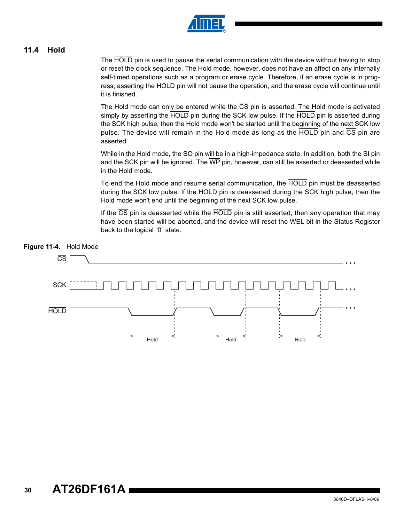![](_page_29_Picture_0.jpeg)

### <span id="page-29-0"></span>**11.4 Hold**

The HOLD pin is used to pause the serial communication with the device without having to stop or reset the clock sequence. The Hold mode, however, does not have an affect on any internally self-timed operations such as a program or erase cycle. Therefore, if an erase cycle is in progress, asserting the HOLD pin will not pause the operation, and the erase cycle will continue until it is finished.

The Hold mode can only be entered while the  $\overline{\text{CS}}$  pin is asserted. The Hold mode is activated simply by asserting the HOLD pin during the SCK low pulse. If the HOLD pin is asserted during the SCK high pulse, then the Hold mode won't be started until the beginning of the next SCK low pulse. The device will remain in the Hold mode as long as the HOLD pin and CS pin are asserted.

While in the Hold mode, the SO pin will be in a high-impedance state. In addition, both the SI pin and the SCK pin will be ignored. The WP pin, however, can still be asserted or deasserted while in the Hold mode.

To end the Hold mode and resume serial communication, the HOLD pin must be deasserted during the SCK low pulse. If the HOLD pin is deasserted during the SCK high pulse, then the Hold mode won't end until the beginning of the next SCK low pulse.

If the  $\overline{CS}$  pin is deasserted while the  $\overline{HOLD}$  pin is still asserted, then any operation that may have been started will be aborted, and the device will reset the WEL bit in the Status Register back to the logical "0" state.

![](_page_29_Figure_7.jpeg)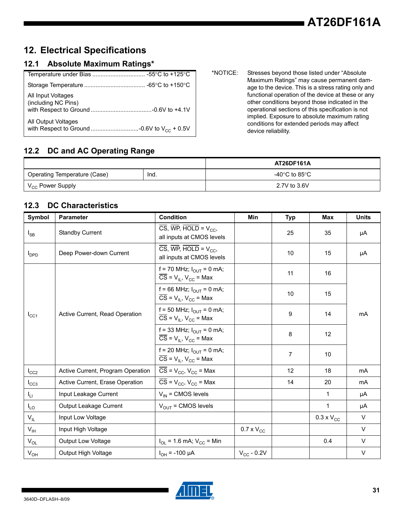## **12. Electrical Specifications**

### **12.1 Absolute Maximum Ratings\***

| All Input Voltages<br>(including NC Pins) |
|-------------------------------------------|
| All Output Voltages                       |

\*NOTICE: Stresses beyond those listed under "Absolute Maximum Ratings" may cause permanent damage to the device. This is a stress rating only and functional operation of the device at these or any other conditions beyond those indicated in the operational sections of this specification is not implied. Exposure to absolute maximum rating conditions for extended periods may affect device reliability.

### **12.2 DC and AC Operating Range**

|                              |       | AT26DF161A         |
|------------------------------|-------|--------------------|
| Operating Temperature (Case) | -Ind. | -40°C to 85°C $\,$ |
| V <sub>CC</sub> Power Supply |       | 2.7V to 3.6V       |

### **12.3 DC Characteristics**

| Symbol                  | <b>Parameter</b>                  | <b>Condition</b>                                                                                  | Min                 | <b>Typ</b>     | Max                 | <b>Units</b> |
|-------------------------|-----------------------------------|---------------------------------------------------------------------------------------------------|---------------------|----------------|---------------------|--------------|
| $I_{SB}$                | <b>Standby Current</b>            | $\overline{\text{CS}}$ , WP, HOLD = $V_{CC}$ ,<br>all inputs at CMOS levels                       |                     | 25             | 35                  | μA           |
| <b>I</b> <sub>DPD</sub> | Deep Power-down Current           | $\overline{\text{CS}}$ , WP, HOLD = $V_{\text{CC}}$ ,<br>all inputs at CMOS levels                |                     | 10             | 15                  | μA           |
|                         |                                   | f = 70 MHz; $I_{\text{OUT}} = 0$ mA;<br>$\overline{CS}$ = $V_{IL}$ , $V_{CC}$ = Max               |                     | 11             | 16                  |              |
|                         |                                   | f = 66 MHz; $I_{\text{OUT}}$ = 0 mA;<br>$\overline{CS}$ = $V_{IL}$ , $V_{CC}$ = Max               |                     | 10             | 15                  |              |
| $I_{\rm CC1}$           | Active Current, Read Operation    | f = 50 MHz; $I_{\text{OUT}}$ = 0 mA;<br>$\overline{CS}$ = V <sub>IL</sub> , V <sub>CC</sub> = Max |                     | 9              | 14                  | mA           |
|                         |                                   | f = 33 MHz; $I_{OUT}$ = 0 mA;<br>$\overline{CS}$ = $V_{IL}$ , $V_{CC}$ = Max                      |                     | 8              | 12                  |              |
|                         |                                   | f = 20 MHz; $I_{OUT}$ = 0 mA;<br>$\overline{CS}$ = $V_{IL}$ , $V_{CC}$ = Max                      |                     | $\overline{7}$ | 10                  |              |
| $I_{CC2}$               | Active Current, Program Operation | $\overline{CS}$ = V <sub>CC</sub> , V <sub>CC</sub> = Max                                         |                     | 12             | 18                  | mA           |
| $I_{CC3}$               | Active Current, Erase Operation   | $\overline{CS}$ = V <sub>CC</sub> , V <sub>CC</sub> = Max                                         |                     | 14             | 20                  | mA           |
| $I_{LI}$                | Input Leakage Current             | $V_{IN}$ = CMOS levels                                                                            |                     |                | 1                   | μA           |
| $I_{LO}$                | Output Leakage Current            | $V_{OUT}$ = CMOS levels                                                                           |                     |                | $\mathbf{1}$        | μA           |
| $V_{IL}$                | Input Low Voltage                 |                                                                                                   |                     |                | $0.3 \times V_{CC}$ | $\vee$       |
| $V_{\text{IH}}$         | Input High Voltage                |                                                                                                   | $0.7 \times V_{CC}$ |                |                     | $\vee$       |
| $V_{OL}$                | <b>Output Low Voltage</b>         | $I_{OL}$ = 1.6 mA; $V_{CC}$ = Min                                                                 |                     |                | 0.4                 | $\vee$       |
| $V_{OH}$                | Output High Voltage               | $I_{OH}$ = -100 µA                                                                                | $V_{CC}$ - 0.2V     |                |                     | $\vee$       |

![](_page_30_Picture_9.jpeg)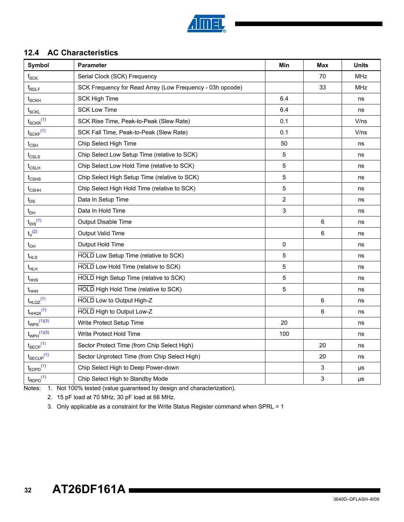![](_page_31_Picture_0.jpeg)

### **12.4 AC Characteristics**

| <b>Symbol</b>                         | Parameter                                                 | Min            | Max | <b>Units</b> |
|---------------------------------------|-----------------------------------------------------------|----------------|-----|--------------|
| $\mathsf{f}_{\mathsf{SCK}}$           | Serial Clock (SCK) Frequency                              |                | 70  | <b>MHz</b>   |
| f <sub>RDLF</sub>                     | SCK Frequency for Read Array (Low Frequency - 03h opcode) |                | 33  | <b>MHz</b>   |
| $t_{\scriptstyle\text{SCKH}}$         | <b>SCK High Time</b>                                      | 6.4            |     | ns           |
| $t_{SCKL}$                            | <b>SCK Low Time</b>                                       | 6.4            |     | ns           |
| $t_{\text{SCKR}}^{(1)}$               | SCK Rise Time, Peak-to-Peak (Slew Rate)                   | 0.1            |     | V/ns         |
| $t_{\text{SCKF}}^{(1)}$               | SCK Fall Time, Peak-to-Peak (Slew Rate)                   | 0.1            |     | V/ns         |
| $t_{\scriptscriptstyle{\text{CSH}}}$  | Chip Select High Time                                     | 50             |     | ns           |
| $t_{CSLS}$                            | Chip Select Low Setup Time (relative to SCK)              | 5              |     | ns           |
| $t_{\scriptscriptstyle \rm{CSLH}}$    | Chip Select Low Hold Time (relative to SCK)               | 5              |     | ns           |
| $t_{CSHS}$                            | Chip Select High Setup Time (relative to SCK)             | 5              |     | ns           |
| $t_{\scriptscriptstyle{\text{CSHH}}}$ | Chip Select High Hold Time (relative to SCK)              | 5              |     | ns           |
| $t_{DS}$                              | Data In Setup Time                                        | $\overline{c}$ |     | ns           |
| $t_{DH}$                              | Data In Hold Time                                         | 3              |     | ns           |
| $t_{DIS}$ <sup>(1)</sup>              | Output Disable Time                                       |                | 6   | ns           |
| $t_v^{(2)}$                           | Output Valid Time                                         |                | 6   | ns           |
| $t_{OH}$                              | Output Hold Time                                          | 0              |     | ns           |
| $t_{HLS}$                             | HOLD Low Setup Time (relative to SCK)                     | 5              |     | ns           |
| $t_{HLH}$                             | HOLD Low Hold Time (relative to SCK)                      | 5              |     | ns           |
| $t_{\text{HHS}}$                      | HOLD High Setup Time (relative to SCK)                    | 5              |     | ns           |
| $t$ <sub>HHH</sub>                    | HOLD High Hold Time (relative to SCK)                     | 5              |     | ns           |
| $t_{HLQZ}^{(1)}$                      | HOLD Low to Output High-Z                                 |                | 6   | ns           |
| $t_{HHQX}$ <sup>(1)</sup>             | HOLD High to Output Low-Z                                 |                | 6   | ns           |
| $t_{WPS}$ <sup>(1)(3)</sup>           | Write Protect Setup Time                                  | 20             |     | ns           |
| $t_{WPH}$ <sup>(1)(3)</sup>           | Write Protect Hold Time                                   | 100            |     | ns           |
| $t_{SECP}$ <sup>(1)</sup>             | Sector Protect Time (from Chip Select High)               |                | 20  | ns           |
| $t_{\scriptstyle \text{SECUP}}^{(1)}$ | Sector Unprotect Time (from Chip Select High)             |                | 20  | ns           |
| $t_{EDPD}$ <sup>(1)</sup>             | Chip Select High to Deep Power-down                       |                | 3   | μs           |
| $t_{RDPD}$ <sup>(1)</sup>             | Chip Select High to Standby Mode                          |                | 3   | $\mu s$      |

<span id="page-31-2"></span><span id="page-31-1"></span><span id="page-31-0"></span>Notes: 1. Not 100% tested (value guaranteed by design and characterization).

2. 15 pF load at 70 MHz, 30 pF load at 66 MHz.

3. Only applicable as a constraint for the Write Status Register command when SPRL = 1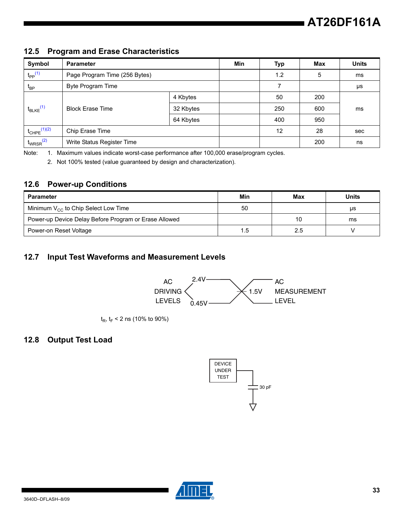### **12.5 Program and Erase Characteristics**

| Symbol                       | <b>Parameter</b>              |           | Min | Typ | Max | <b>Units</b> |
|------------------------------|-------------------------------|-----------|-----|-----|-----|--------------|
| $t_{PP}$ <sup>(1)</sup>      | Page Program Time (256 Bytes) |           | 1.2 | 5   | ms  |              |
| $t_{BP}$                     | Byte Program Time             |           |     | ⇁   |     | μs           |
|                              |                               | 4 Kbytes  |     | 50  | 200 |              |
| $t_{BLKE}$ <sup>(1)</sup>    | <b>Block Erase Time</b>       | 32 Kbytes |     | 250 | 600 | ms           |
|                              |                               | 64 Kbytes |     | 400 | 950 |              |
| $t_{CHPE}$ <sup>(1)(2)</sup> | Chip Erase Time               |           |     | 12  | 28  | sec          |
| $t_{WRSR}$ <sup>(2)</sup>    | Write Status Register Time    |           |     |     | 200 | ns           |

<span id="page-32-1"></span><span id="page-32-0"></span>Note: 1. Maximum values indicate worst-case performance after 100,000 erase/program cycles.

2. Not 100% tested (value guaranteed by design and characterization).

### **12.6 Power-up Conditions**

| <b>Parameter</b>                                      | Min | Max | Units |
|-------------------------------------------------------|-----|-----|-------|
| Minimum $V_{CC}$ to Chip Select Low Time              | 50  |     | μs    |
| Power-up Device Delay Before Program or Erase Allowed |     | 10  | ms    |
| Power-on Reset Voltage                                | 1.5 | 2.5 |       |

### **12.7 Input Test Waveforms and Measurement Levels**

![](_page_32_Figure_8.jpeg)

 $t_{\text{R}}$ ,  $t_{\text{F}}$  < 2 ns (10% to 90%)

### **12.8 Output Test Load**

![](_page_32_Figure_11.jpeg)

![](_page_32_Picture_12.jpeg)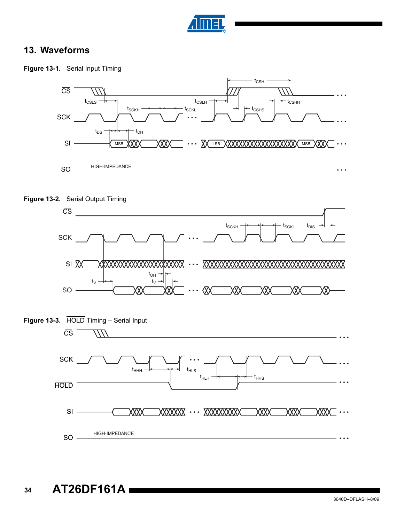![](_page_33_Picture_0.jpeg)

### **13. Waveforms**

![](_page_33_Figure_2.jpeg)

![](_page_33_Figure_3.jpeg)

![](_page_33_Figure_4.jpeg)

![](_page_33_Figure_5.jpeg)

![](_page_33_Figure_6.jpeg)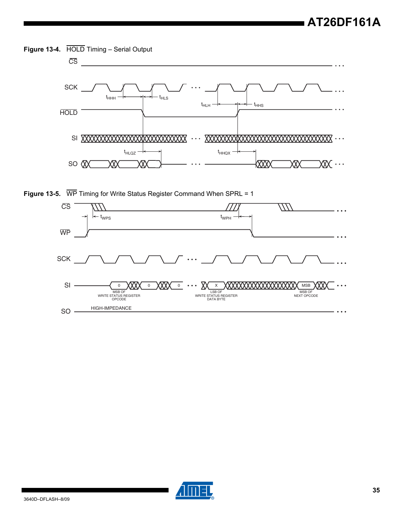**Figure 13-4.** HOLD Timing – Serial Output

![](_page_34_Figure_2.jpeg)

**Figure 13-5.** WP Timing for Write Status Register Command When SPRL = 1

![](_page_34_Figure_4.jpeg)

![](_page_34_Picture_5.jpeg)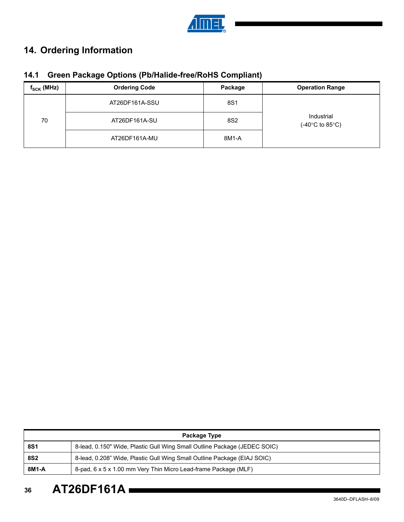![](_page_35_Picture_0.jpeg)

# **14. Ordering Information**

|  |  |  | 14.1 Green Package Options (Pb/Halide-free/RoHS Compliant) |  |
|--|--|--|------------------------------------------------------------|--|
|--|--|--|------------------------------------------------------------|--|

| $f_{\rm SCK}$ (MHz) | <b>Ordering Code</b> | Package | <b>Operation Range</b>                             |  |
|---------------------|----------------------|---------|----------------------------------------------------|--|
| 70                  | AT26DF161A-SSU       | 8S1     |                                                    |  |
|                     | AT26DF161A-SU        | 8S2     | Industrial<br>$(-40^{\circ}$ C to 85 $^{\circ}$ C) |  |
|                     | AT26DF161A-MU        | 8M1-A   |                                                    |  |

| Package Type |                                                                           |  |  |  |
|--------------|---------------------------------------------------------------------------|--|--|--|
| <b>8S1</b>   | 8-lead, 0.150" Wide, Plastic Gull Wing Small Outline Package (JEDEC SOIC) |  |  |  |
| <b>8S2</b>   | 8-lead, 0.208" Wide, Plastic Gull Wing Small Outline Package (EIAJ SOIC)  |  |  |  |
| 8M1-A        | 8-pad, 6 x 5 x 1.00 mm Very Thin Micro Lead-frame Package (MLF)           |  |  |  |

**36 AT26DF161A**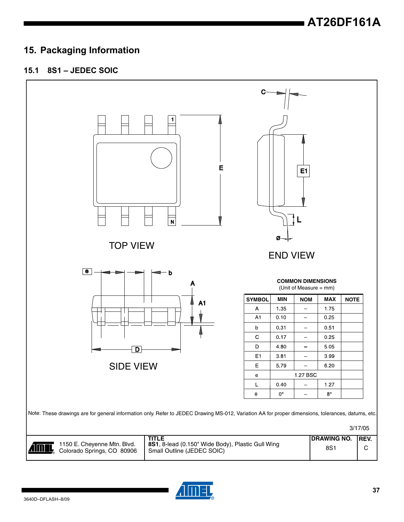### **15. Packaging Information**

### **15.1 8S1 – JEDEC SOIC**

![](_page_36_Figure_3.jpeg)

![](_page_36_Picture_4.jpeg)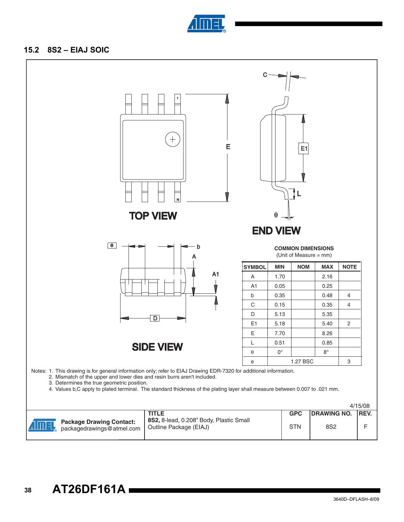![](_page_37_Picture_0.jpeg)

### **15.2 8S2 – EIAJ SOIC**

![](_page_37_Figure_2.jpeg)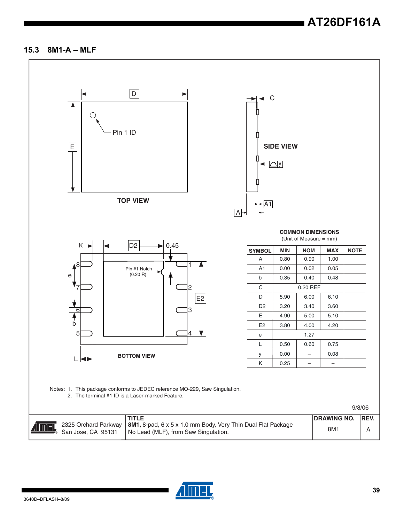# **AT26DF161A**

#### **15.3 8M1-A – MLF**

![](_page_38_Figure_2.jpeg)

![](_page_38_Picture_3.jpeg)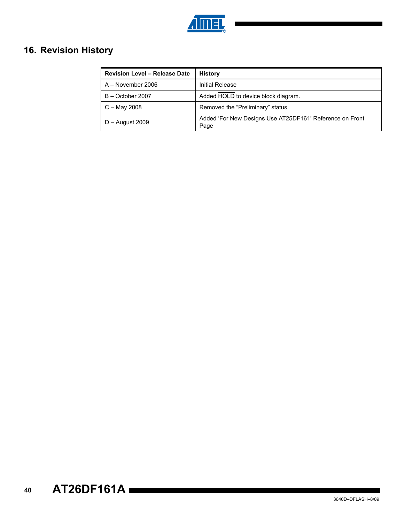![](_page_39_Picture_0.jpeg)

## **16. Revision History**

| <b>Revision Level - Release Date</b> | <b>History</b>                                                   |  |
|--------------------------------------|------------------------------------------------------------------|--|
| A - November 2006                    | Initial Release                                                  |  |
| B - October 2007                     | Added HOLD to device block diagram.                              |  |
| $C -$ May 2008                       | Removed the "Preliminary" status                                 |  |
| $D -$ August 2009                    | Added 'For New Designs Use AT25DF161' Reference on Front<br>Page |  |